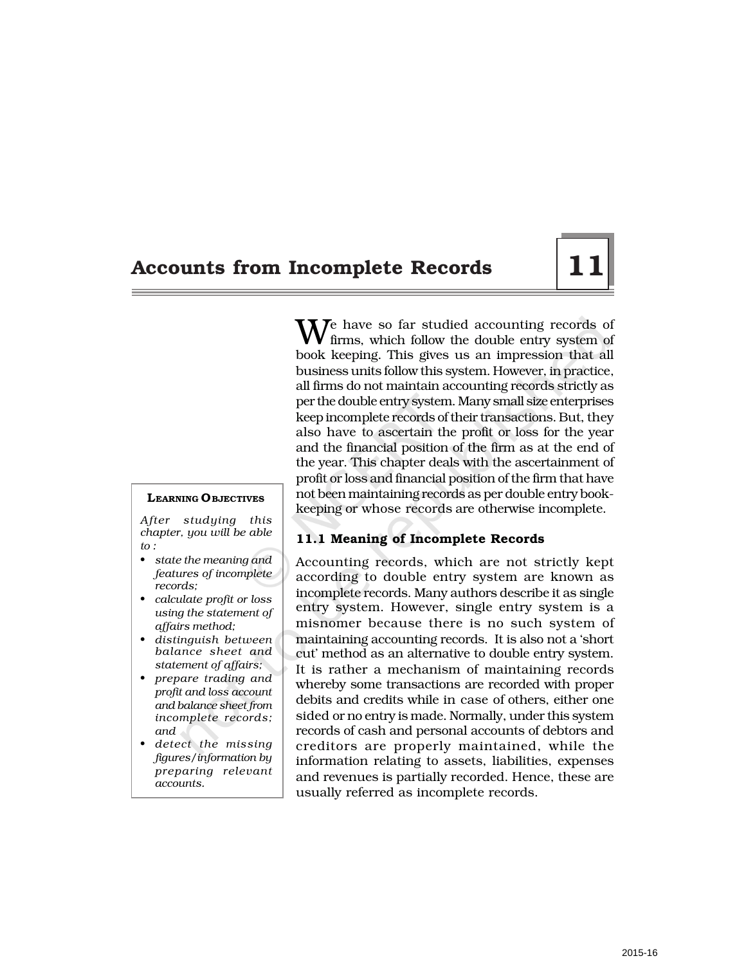$\sum$  have so far studied accounting records of firms, which follow the double entry system of book keeping. This gives us an impression that all business units follow this system. However, in practice, all firms do not maintain accounting records strictly as per the double entry system. Many small size enterprises keep incomplete records of their transactions. But, they also have to ascertain the profit or loss for the year and the financial position of the firm as at the end of the year. This chapter deals with the ascertainment of profit or loss and financial position of the firm that have not been maintaining records as per double entry bookkeeping or whose records are otherwise incomplete.

### LEARNING OBJECTIVES

*After studying this chapter, you will be able to :*

- *state the meaning and features of incomplete records;*
- *calculate profit or loss using the statement of affairs method;*
- *distinguish between balance sheet and statement of affairs;*
- *prepare trading and profit and loss account and balance sheet from incomplete records; and*
- *detect the missing figures/information by preparing relevant accounts.*

#### 11.1 Meaning of Incomplete Records

Accounting records, which are not strictly kept according to double entry system are known as incomplete records. Many authors describe it as single entry system. However, single entry system is a misnomer because there is no such system of maintaining accounting records. It is also not a 'short cut' method as an alternative to double entry system. It is rather a mechanism of maintaining records whereby some transactions are recorded with proper debits and credits while in case of others, either one sided or no entry is made. Normally, under this system records of cash and personal accounts of debtors and creditors are properly maintained, while the information relating to assets, liabilities, expenses and revenues is partially recorded. Hence, these are usually referred as incomplete records.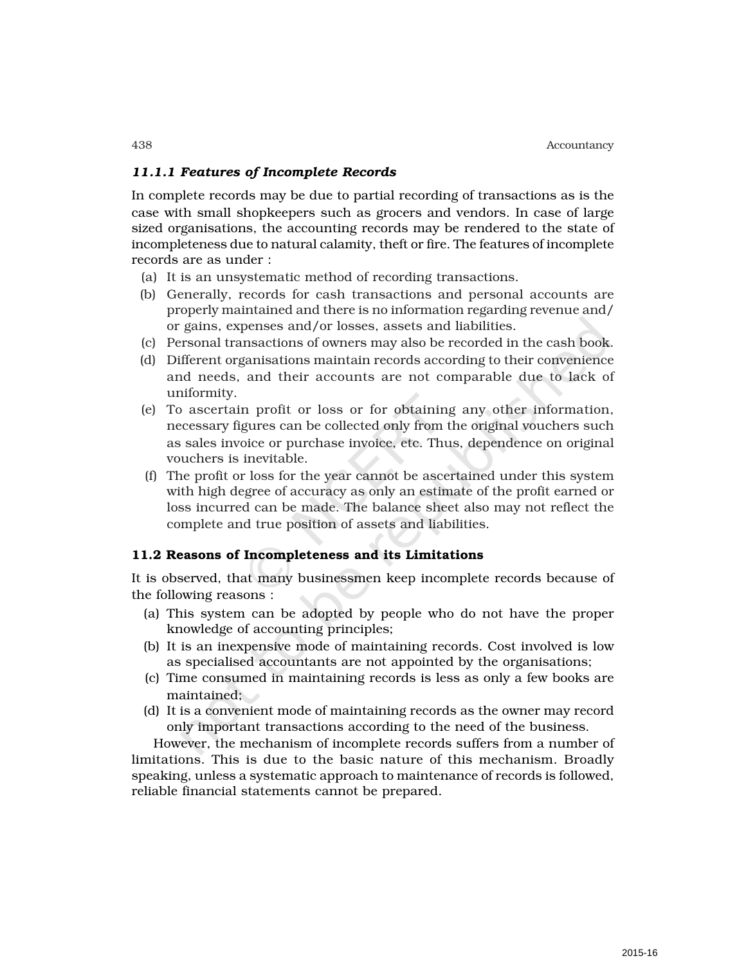## *11.1.1 Features of Incomplete Records*

In complete records may be due to partial recording of transactions as is the case with small shopkeepers such as grocers and vendors. In case of large sized organisations, the accounting records may be rendered to the state of incompleteness due to natural calamity, theft or fire. The features of incomplete records are as under :

- (a) It is an unsystematic method of recording transactions.
- (b) Generally, records for cash transactions and personal accounts are properly maintained and there is no information regarding revenue and/ or gains, expenses and/or losses, assets and liabilities.
- (c) Personal transactions of owners may also be recorded in the cash book.
- (d) Different organisations maintain records according to their convenience and needs, and their accounts are not comparable due to lack of uniformity.
- (e) To ascertain profit or loss or for obtaining any other information, necessary figures can be collected only from the original vouchers such as sales invoice or purchase invoice, etc. Thus, dependence on original vouchers is inevitable.
- (f) The profit or loss for the year cannot be ascertained under this system with high degree of accuracy as only an estimate of the profit earned or loss incurred can be made. The balance sheet also may not reflect the complete and true position of assets and liabilities.

## 11.2 Reasons of Incompleteness and its Limitations

It is observed, that many businessmen keep incomplete records because of the following reasons :

- (a) This system can be adopted by people who do not have the proper knowledge of accounting principles;
- (b) It is an inexpensive mode of maintaining records. Cost involved is low as specialised accountants are not appointed by the organisations;
- (c) Time consumed in maintaining records is less as only a few books are maintained;
- (d) It is a convenient mode of maintaining records as the owner may record only important transactions according to the need of the business.

However, the mechanism of incomplete records suffers from a number of limitations. This is due to the basic nature of this mechanism. Broadly speaking, unless a systematic approach to maintenance of records is followed, reliable financial statements cannot be prepared.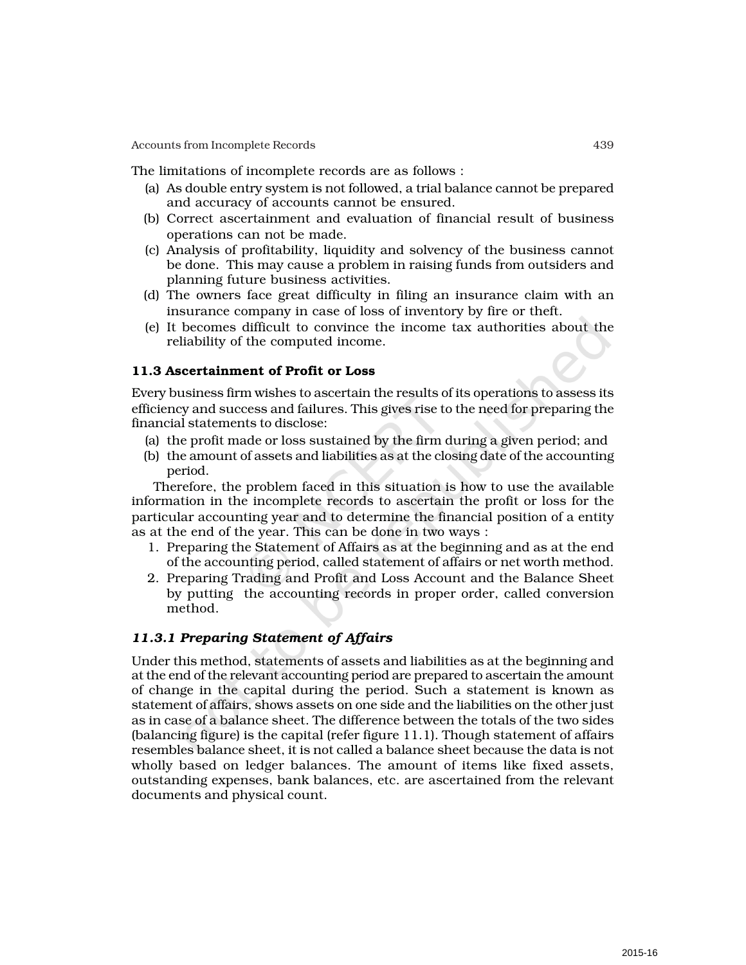The limitations of incomplete records are as follows :

- (a) As double entry system is not followed, a trial balance cannot be prepared and accuracy of accounts cannot be ensured.
- (b) Correct ascertainment and evaluation of financial result of business operations can not be made.
- (c) Analysis of profitability, liquidity and solvency of the business cannot be done. This may cause a problem in raising funds from outsiders and planning future business activities.
- (d) The owners face great difficulty in filing an insurance claim with an insurance company in case of loss of inventory by fire or theft.
- (e) It becomes difficult to convince the income tax authorities about the reliability of the computed income.

## 11.3 Ascertainment of Profit or Loss

Every business firm wishes to ascertain the results of its operations to assess its efficiency and success and failures. This gives rise to the need for preparing the financial statements to disclose:

- (a) the profit made or loss sustained by the firm during a given period; and
- (b) the amount of assets and liabilities as at the closing date of the accounting period.

Therefore, the problem faced in this situation is how to use the available information in the incomplete records to ascertain the profit or loss for the particular accounting year and to determine the financial position of a entity as at the end of the year. This can be done in two ways :

- 1. Preparing the Statement of Affairs as at the beginning and as at the end of the accounting period, called statement of affairs or net worth method.
- 2. Preparing Trading and Profit and Loss Account and the Balance Sheet by putting the accounting records in proper order, called conversion method.

## *11.3.1 Preparing Statement of Affairs*

Under this method, statements of assets and liabilities as at the beginning and at the end of the relevant accounting period are prepared to ascertain the amount of change in the capital during the period. Such a statement is known as statement of affairs, shows assets on one side and the liabilities on the other just as in case of a balance sheet. The difference between the totals of the two sides (balancing figure) is the capital (refer figure 11.1). Though statement of affairs resembles balance sheet, it is not called a balance sheet because the data is not wholly based on ledger balances. The amount of items like fixed assets, outstanding expenses, bank balances, etc. are ascertained from the relevant documents and physical count.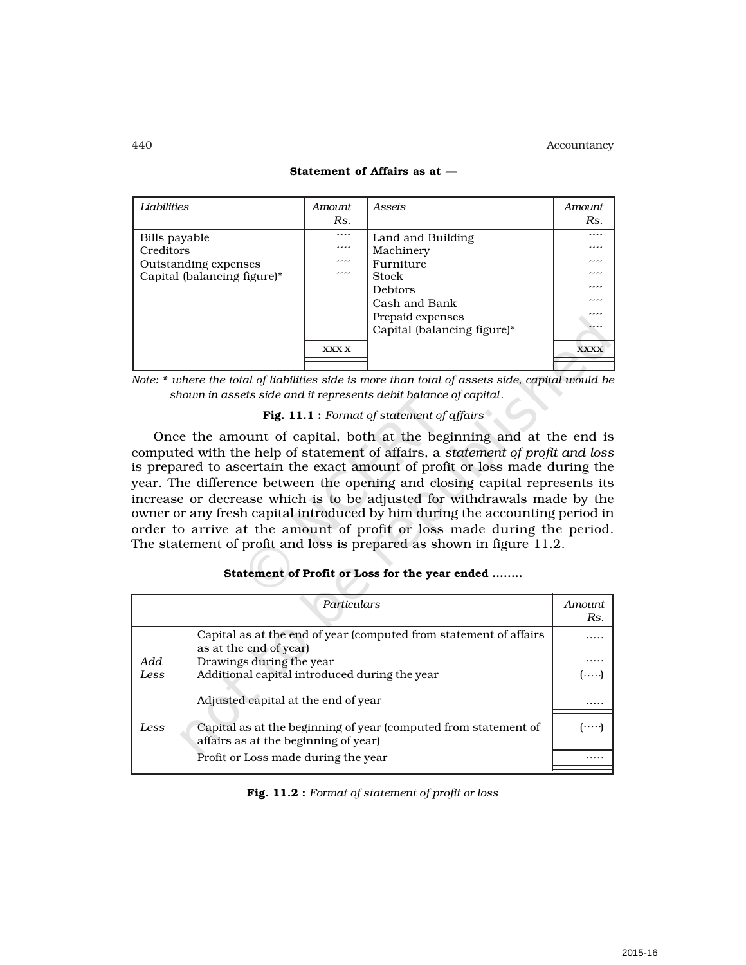| Liabilities                 | Amount<br>Rs. | <b>Assets</b>               | Amount.<br>Rs. |
|-----------------------------|---------------|-----------------------------|----------------|
| Bills payable               |               | Land and Building           |                |
| Creditors                   |               | Machinery                   |                |
| Outstanding expenses        |               | Furniture                   |                |
| Capital (balancing figure)* |               | Stock                       |                |
|                             |               | <b>Debtors</b>              |                |
|                             |               | Cash and Bank               |                |
|                             |               | Prepaid expenses            |                |
|                             |               | Capital (balancing figure)* | .              |
|                             | XXX X         |                             | <b>XXXX</b>    |
|                             |               |                             |                |

#### Statement of Affairs as at ––

*Note: \* where the total of liabilities side is more than total of assets side, capital would be shown in assets side and it represents debit balance of capital*.

## Fig. 11.1 : *Format of statement of affairs*

Once the amount of capital, both at the beginning and at the end is computed with the help of statement of affairs, a *statement of profit and loss* is prepared to ascertain the exact amount of profit or loss made during the year. The difference between the opening and closing capital represents its increase or decrease which is to be adjusted for withdrawals made by the owner or any fresh capital introduced by him during the accounting period in order to arrive at the amount of profit or loss made during the period. The statement of profit and loss is prepared as shown in figure 11.2.

#### Statement of Profit or Loss for the year ended ........

|      | Particulars                                                                                             | <i>Amount</i> |
|------|---------------------------------------------------------------------------------------------------------|---------------|
|      |                                                                                                         | Rs.           |
|      | Capital as at the end of year (computed from statement of affairs<br>as at the end of year)             | $\cdots$      |
| Add  | Drawings during the year                                                                                | .             |
| Less | Additional capital introduced during the year                                                           | .             |
|      | Adjusted capital at the end of year                                                                     | .             |
| Less | Capital as at the beginning of year (computed from statement of<br>affairs as at the beginning of year) |               |
|      | Profit or Loss made during the year                                                                     |               |
|      |                                                                                                         |               |

#### Fig. 11.2 : *Format of statement of profit or loss*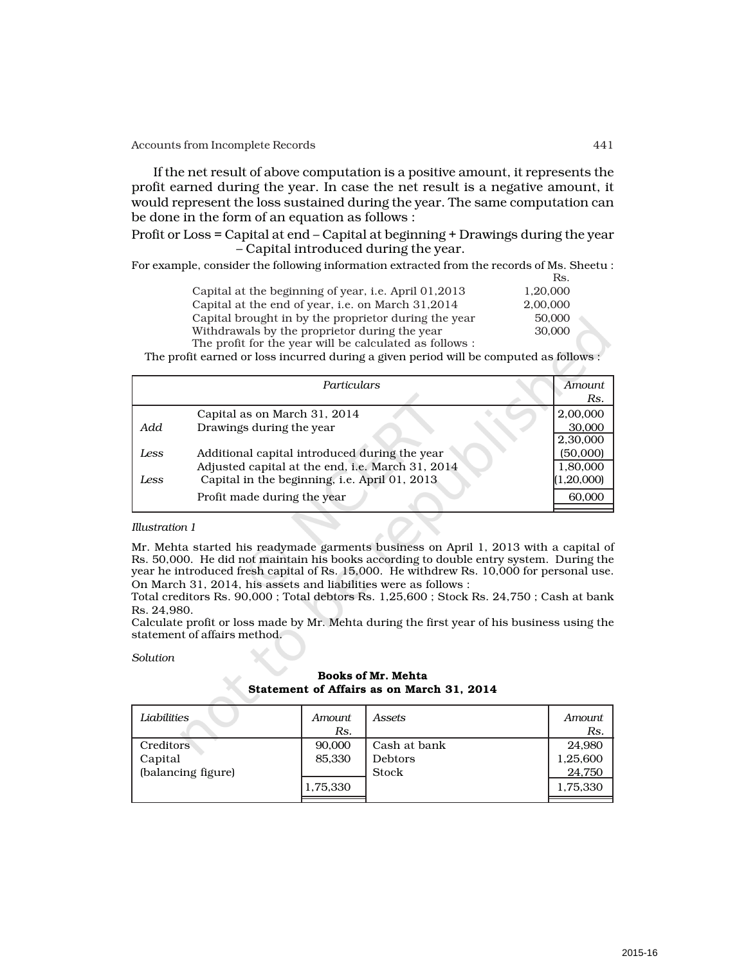If the net result of above computation is a positive amount, it represents the profit earned during the year. In case the net result is a negative amount, it would represent the loss sustained during the year. The same computation can be done in the form of an equation as follows :

Profit or Loss = Capital at end – Capital at beginning + Drawings during the year – Capital introduced during the year.

For example, consider the following information extracted from the records of Ms. Sheetu :

|                                                             | Rs.      |
|-------------------------------------------------------------|----------|
| Capital at the beginning of year, <i>i.e.</i> April 01,2013 | 1.20.000 |
| Capital at the end of year, <i>i.e.</i> on March 31,2014    | 2.00.000 |
| Capital brought in by the proprietor during the year        | 50,000   |
| Withdrawals by the proprietor during the year               | 30,000   |
| The profit for the year will be calculated as follows :     |          |

The profit earned or loss incurred during a given period will be computed as follows :

|      | Particulars                                      | Amount<br>Rs. |
|------|--------------------------------------------------|---------------|
|      | Capital as on March 31, 2014                     | 2,00,000      |
| Add  | Drawings during the year                         | 30,000        |
|      |                                                  | 2,30,000      |
| Less | Additional capital introduced during the year    | (50,000)      |
|      | Adjusted capital at the end, i.e. March 31, 2014 | 1,80,000      |
| Less | Capital in the beginning, i.e. April 01, 2013    | (1,20,000)    |
|      | Profit made during the year                      | 60,000        |
|      |                                                  |               |

#### *Illustration 1*

Mr. Mehta started his readymade garments business on April 1, 2013 with a capital of Rs. 50,000. He did not maintain his books according to double entry system. During the year he introduced fresh capital of Rs. 15,000. He withdrew Rs. 10,000 for personal use. On March 31, 2014, his assets and liabilities were as follows :

Total creditors Rs. 90,000 ; Total debtors Rs. 1,25,600 ; Stock Rs. 24,750 ; Cash at bank Rs. 24,980.

Calculate profit or loss made by Mr. Mehta during the first year of his business using the statement of affairs method.

*Solution*

## Books of Mr. Mehta Statement of Affairs as on March 31, 2014

| Liabilities          | Amount<br>Rs.    | Assets                         | Amount<br>Rs.      |
|----------------------|------------------|--------------------------------|--------------------|
| Creditors<br>Capital | 90,000<br>85,330 | Cash at bank<br><b>Debtors</b> | 24,980<br>1,25,600 |
| (balancing figure)   |                  | Stock                          | 24,750             |
|                      | 1,75,330         |                                | 1,75,330           |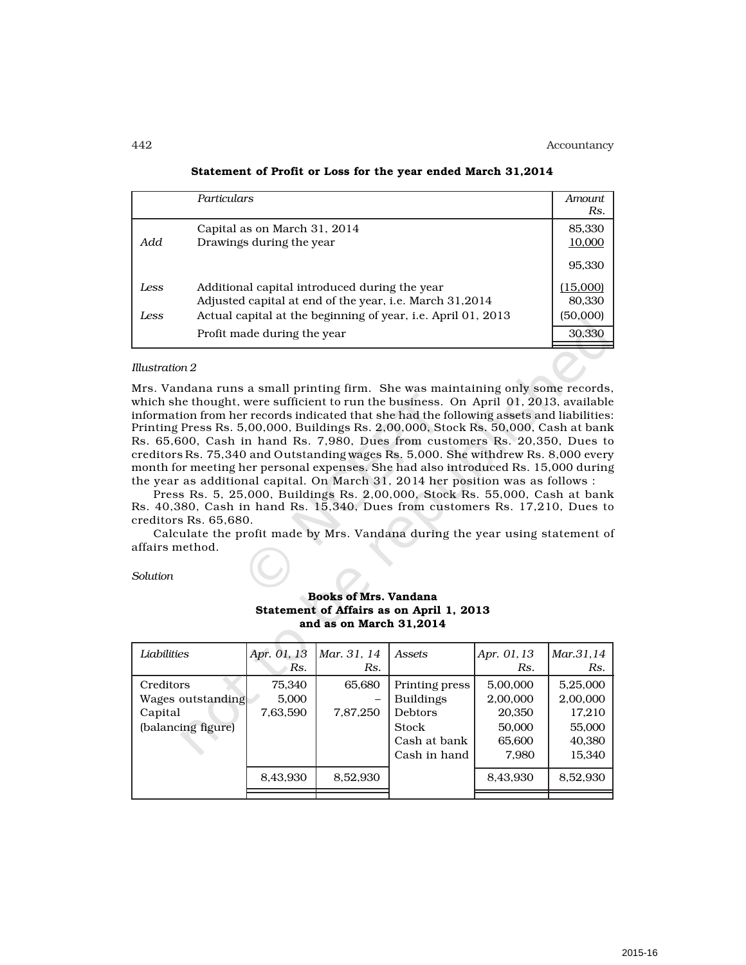| Statement of Profit or Loss for the year ended March 31,2014 |  |  |  |  |  |  |
|--------------------------------------------------------------|--|--|--|--|--|--|
|--------------------------------------------------------------|--|--|--|--|--|--|

|      | Particulars                                                                                              | Amount<br>Rs.      |
|------|----------------------------------------------------------------------------------------------------------|--------------------|
| Add  | Capital as on March 31, 2014<br>Drawings during the year                                                 | 85,330<br>10,000   |
|      |                                                                                                          | 95,330             |
| Less | Additional capital introduced during the year<br>Adjusted capital at end of the year, i.e. March 31,2014 | (15,000)<br>80,330 |
| Less | Actual capital at the beginning of year, <i>i.e.</i> April 01, 2013                                      | (50,000)           |
|      | Profit made during the year                                                                              | 30,330             |

## *Illustration 2*

Mrs. Vandana runs a small printing firm. She was maintaining only some records, which she thought, were sufficient to run the business. On April 01, 2013, available information from her records indicated that she had the following assets and liabilities: Printing Press Rs. 5,00,000, Buildings Rs. 2,00,000, Stock Rs. 50,000, Cash at bank Rs. 65,600, Cash in hand Rs. 7,980, Dues from customers Rs. 20,350, Dues to creditors Rs. 75,340 and Outstanding wages Rs. 5,000. She withdrew Rs. 8,000 every month for meeting her personal expenses. She had also introduced Rs. 15,000 during the year as additional capital. On March 31, 2014 her position was as follows :

Press Rs. 5, 25,000, Buildings Rs. 2,00,000, Stock Rs. 55,000, Cash at bank Rs. 40,380, Cash in hand Rs. 15,340, Dues from customers Rs. 17,210, Dues to creditors Rs. 65,680.

Calculate the profit made by Mrs. Vandana during the year using statement of affairs method.

*Solution*

| and as on March 31,2014                                         |                             |                         |                                                                                               |                                                             |                                                              |  |  |
|-----------------------------------------------------------------|-----------------------------|-------------------------|-----------------------------------------------------------------------------------------------|-------------------------------------------------------------|--------------------------------------------------------------|--|--|
| Liabilities                                                     | Apr. 01, 13<br>Rs.          | Mar. 31, 14<br>Rs.      | Assets                                                                                        | Apr. 01, 13<br>Rs.                                          | Mar.31,14<br>Rs.                                             |  |  |
| Creditors<br>Wages outstanding<br>Capital<br>(balancing figure) | 75,340<br>5,000<br>7,63,590 | 65,680<br>-<br>7,87,250 | Printing press<br>Buildings<br><b>Debtors</b><br><b>Stock</b><br>Cash at bank<br>Cash in hand | 5,00,000<br>2,00,000<br>20.350<br>50,000<br>65,600<br>7.980 | 5,25,000<br>2,00,000<br>17,210<br>55,000<br>40,380<br>15,340 |  |  |
|                                                                 | 8,43,930                    | 8,52,930                |                                                                                               | 8,43,930                                                    | 8,52,930                                                     |  |  |

# Books of Mrs. Vandana Statement of Affairs as on April 1, 2013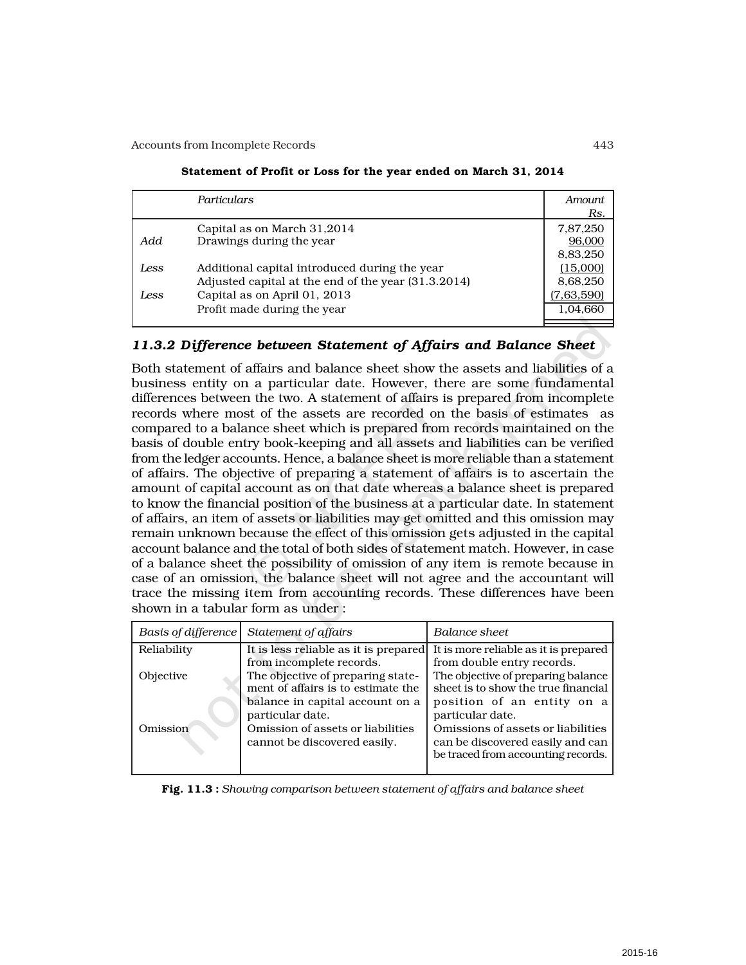|      | <b>Particulars</b>                                  | Amount     |
|------|-----------------------------------------------------|------------|
|      |                                                     | Rs.        |
|      | Capital as on March 31,2014                         | 7,87,250   |
| Add  | Drawings during the year                            | 96,000     |
|      |                                                     | 8,83,250   |
| Less | Additional capital introduced during the year       | (15,000)   |
|      | Adjusted capital at the end of the year (31.3.2014) | 8,68,250   |
| Less | Capital as on April 01, 2013                        | (7,63,590) |
|      | Profit made during the year                         | 1,04,660   |
|      |                                                     |            |

Statement of Profit or Loss for the year ended on March 31, 2014

## *11.3.2 Difference between Statement of Affairs and Balance Sheet*

Both statement of affairs and balance sheet show the assets and liabilities of a business entity on a particular date. However, there are some fundamental differences between the two. A statement of affairs is prepared from incomplete records where most of the assets are recorded on the basis of estimates as compared to a balance sheet which is prepared from records maintained on the basis of double entry book-keeping and all assets and liabilities can be verified from the ledger accounts. Hence, a balance sheet is more reliable than a statement of affairs. The objective of preparing a statement of affairs is to ascertain the amount of capital account as on that date whereas a balance sheet is prepared to know the financial position of the business at a particular date. In statement of affairs, an item of assets or liabilities may get omitted and this omission may remain unknown because the effect of this omission gets adjusted in the capital account balance and the total of both sides of statement match. However, in case of a balance sheet the possibility of omission of any item is remote because in case of an omission, the balance sheet will not agree and the accountant will trace the missing item from accounting records. These differences have been shown in a tabular form as under :

| Basis of difference | Statement of affairs                  | Balance sheet                         |
|---------------------|---------------------------------------|---------------------------------------|
| Reliability         | It is less reliable as it is prepared | It is more reliable as it is prepared |
|                     | from incomplete records.              | from double entry records.            |
| Objective           | The objective of preparing state-     | The objective of preparing balance    |
|                     | ment of affairs is to estimate the    | sheet is to show the true financial   |
|                     | balance in capital account on a       | position of an entity on a            |
|                     | particular date.                      | particular date.                      |
| Omission            | Omission of assets or liabilities     | Omissions of assets or liabilities    |
|                     | cannot be discovered easily.          | can be discovered easily and can      |
|                     |                                       | be traced from accounting records.    |
|                     |                                       |                                       |

Fig. 11.3 : *Showing comparison between statement of affairs and balance sheet*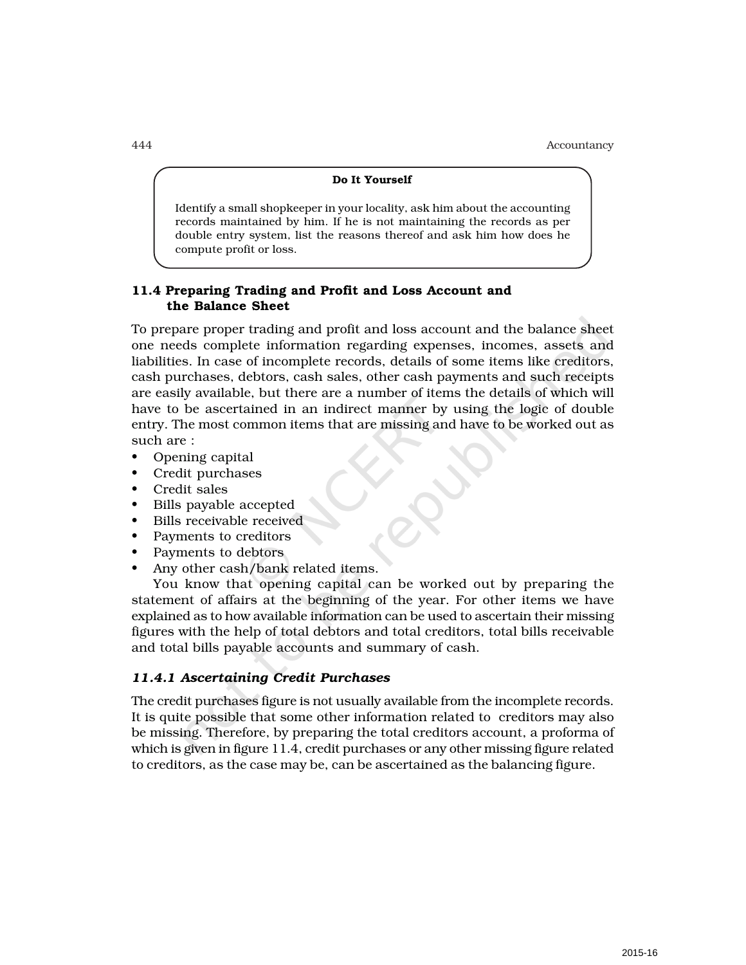#### Do It Yourself

Identify a small shopkeeper in your locality, ask him about the accounting records maintained by him. If he is not maintaining the records as per double entry system, list the reasons thereof and ask him how does he compute profit or loss.

## 11.4 Preparing Trading and Profit and Loss Account and the Balance Sheet

To prepare proper trading and profit and loss account and the balance sheet one needs complete information regarding expenses, incomes, assets and liabilities. In case of incomplete records, details of some items like creditors, cash purchases, debtors, cash sales, other cash payments and such receipts are easily available, but there are a number of items the details of which will have to be ascertained in an indirect manner by using the logic of double entry. The most common items that are missing and have to be worked out as such are :

- Opening capital
- Credit purchases
- Credit sales
- Bills payable accepted
- Bills receivable received
- Payments to creditors
- Payments to debtors
- Any other cash/bank related items.

You know that opening capital can be worked out by preparing the statement of affairs at the beginning of the year. For other items we have explained as to how available information can be used to ascertain their missing figures with the help of total debtors and total creditors, total bills receivable and total bills payable accounts and summary of cash.

## *11.4.1 Ascertaining Credit Purchases*

The credit purchases figure is not usually available from the incomplete records. It is quite possible that some other information related to creditors may also be missing. Therefore, by preparing the total creditors account, a proforma of which is given in figure 11.4, credit purchases or any other missing figure related to creditors, as the case may be, can be ascertained as the balancing figure.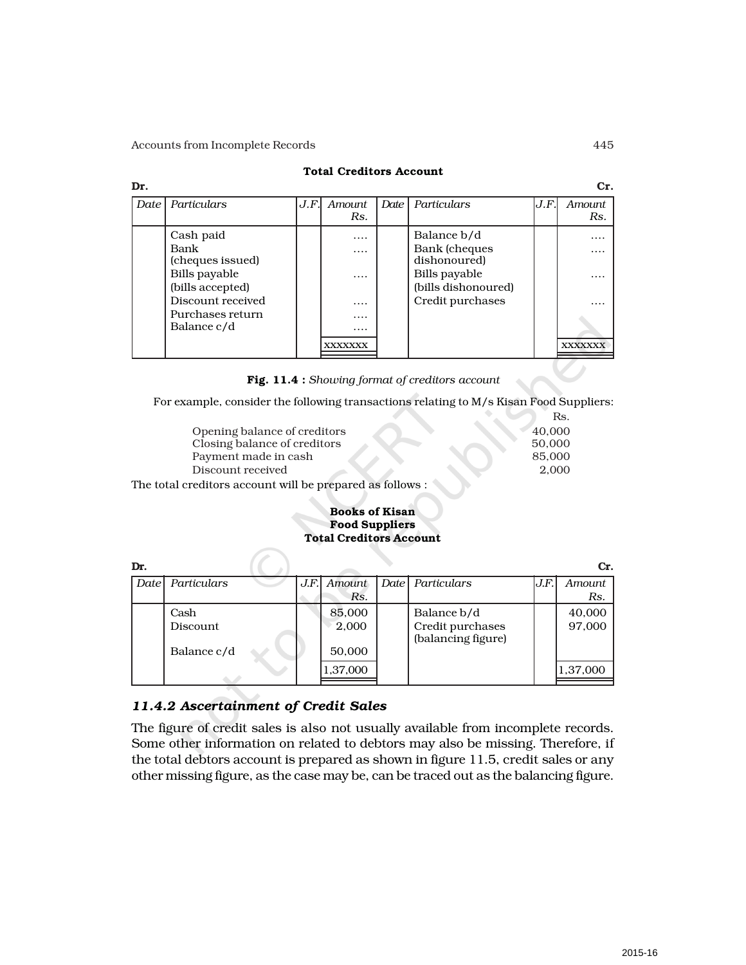| Dr. |                   |      |          |                     |       | Cr.            |
|-----|-------------------|------|----------|---------------------|-------|----------------|
|     | Date Particulars  | J.F. | Amount   | Date   Particulars  | IJ.F. | Amount.        |
|     |                   |      | Rs.      |                     |       | Rs.            |
|     | Cash paid         |      |          | Balance b/d         |       |                |
|     | Bank              |      |          | Bank (cheques       |       |                |
|     | (cheques issued)  |      |          | dishonoured)        |       |                |
|     | Bills payable     |      |          | Bills payable       |       | .              |
|     | (bills accepted)  |      |          | (bills dishonoured) |       |                |
|     | Discount received |      |          | Credit purchases    |       |                |
|     | Purchases return  |      |          |                     |       |                |
|     | Balance c/d       |      | $\cdots$ |                     |       |                |
|     |                   |      | xxxxxxx  |                     |       | <b>XXXXXXX</b> |
|     |                   |      |          |                     |       |                |

## Total Creditors Account

## Fig. 11.4 : *Showing format of creditors account*

For example, consider the following transactions relating to M/s Kisan Food Suppliers: Rs.

|                              | INS.   |
|------------------------------|--------|
| Opening balance of creditors | 40,000 |
| Closing balance of creditors | 50,000 |
| Payment made in cash         | 85,000 |
| Discount received            | 2.000  |
|                              |        |

The total creditors account will be prepared as follows :

C.

#### Books of Kisan Food Suppliers Total Creditors Account

| Dr.   |             |      |          |                                        |      | Cr.      |
|-------|-------------|------|----------|----------------------------------------|------|----------|
| Datel | Particulars | J.F. | Amount   | Date   Particulars                     | J.F. | Amount   |
|       |             |      | Rs.      |                                        |      | Rs.      |
|       | Cash        |      | 85,000   | Balance b/d                            |      | 40,000   |
|       | Discount.   |      | 2,000    | Credit purchases<br>(balancing figure) |      | 97,000   |
|       | Balance c/d |      | 50,000   |                                        |      |          |
|       |             |      | 1,37,000 |                                        |      | 1,37,000 |

## *11.4.2 Ascertainment of Credit Sales*

The figure of credit sales is also not usually available from incomplete records. Some other information on related to debtors may also be missing. Therefore, if the total debtors account is prepared as shown in figure 11.5, credit sales or any other missing figure, as the case may be, can be traced out as the balancing figure.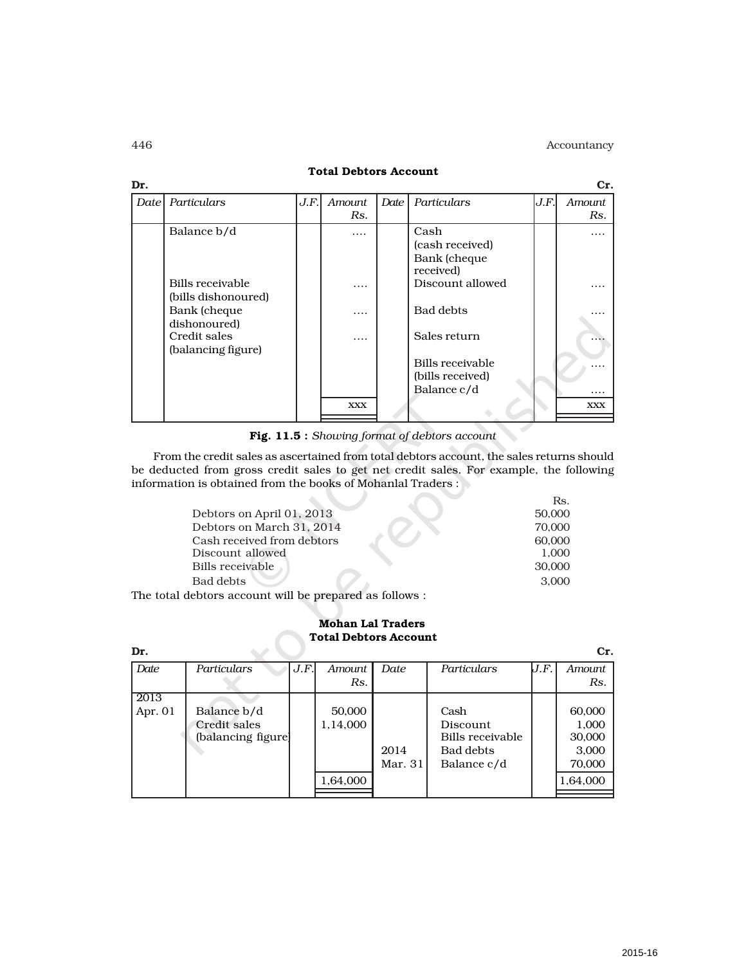$\mathbf{r}$ 

| Dr.   |                     |      |            |      |                           |      | Cr.        |
|-------|---------------------|------|------------|------|---------------------------|------|------------|
| Datel | Particulars         | J.F. | Amount.    | Date | Particulars               | J.F. | Amount.    |
|       |                     |      | Rs.        |      |                           |      | Rs.        |
|       | Balance b/d         |      | .          |      | Cash                      |      | .          |
|       |                     |      |            |      | (cash received)           |      |            |
|       |                     |      |            |      | Bank (cheque<br>received) |      |            |
|       | Bills receivable    |      | $\cdots$   |      | Discount allowed          |      | .          |
|       | (bills dishonoured) |      |            |      |                           |      |            |
|       | Bank (cheque        |      | $\cdots$   |      | Bad debts                 |      |            |
|       | dishonoured)        |      |            |      |                           |      |            |
|       | Credit sales        |      | .          |      | Sales return              |      | $\cdots$   |
|       | (balancing figure)  |      |            |      |                           |      |            |
|       |                     |      |            |      | Bills receivable          |      |            |
|       |                     |      |            |      | (bills received)          |      |            |
|       |                     |      |            |      | Balance c/d               |      | $\cdots$   |
|       |                     |      | <b>XXX</b> |      |                           |      | <b>XXX</b> |
|       |                     |      |            |      |                           |      |            |

## Total Debtors Account

## Fig. 11.5 : *Showing format of debtors account*

From the credit sales as ascertained from total debtors account, the sales returns should be deducted from gross credit sales to get net credit sales. For example, the following information is obtained from the books of Mohanlal Traders :

| ĸs.    |
|--------|
| 50,000 |
| 70,000 |
| 60,000 |
| 1.000  |
| 30,000 |
| 3.000  |
|        |

The total debtors account will be prepared as follows :

 $\Delta$ 

#### Mohan Lal Traders Total Debtors Account

| Dr.     |                    |      |          |         |                  |      | Cr.      |
|---------|--------------------|------|----------|---------|------------------|------|----------|
| Date    | <b>Particulars</b> | J.F. | Amount   | Date    | Particulars      | U.F. | Amount   |
|         |                    |      | Rs.      |         |                  |      | Rs.      |
| 2013    |                    |      |          |         |                  |      |          |
| Apr. 01 | Balance b/d        |      | 50,000   |         | Cash             |      | 60,000   |
|         | Credit sales       |      | 1,14,000 |         | Discount.        |      | 1,000    |
|         | (balancing figure) |      |          |         | Bills receivable |      | 30,000   |
|         |                    |      |          | 2014    | Bad debts        |      | 3,000    |
|         |                    |      |          | Mar. 31 | Balance c/d      |      | 70,000   |
|         |                    |      | 1,64,000 |         |                  |      | 1,64,000 |
|         |                    |      |          |         |                  |      |          |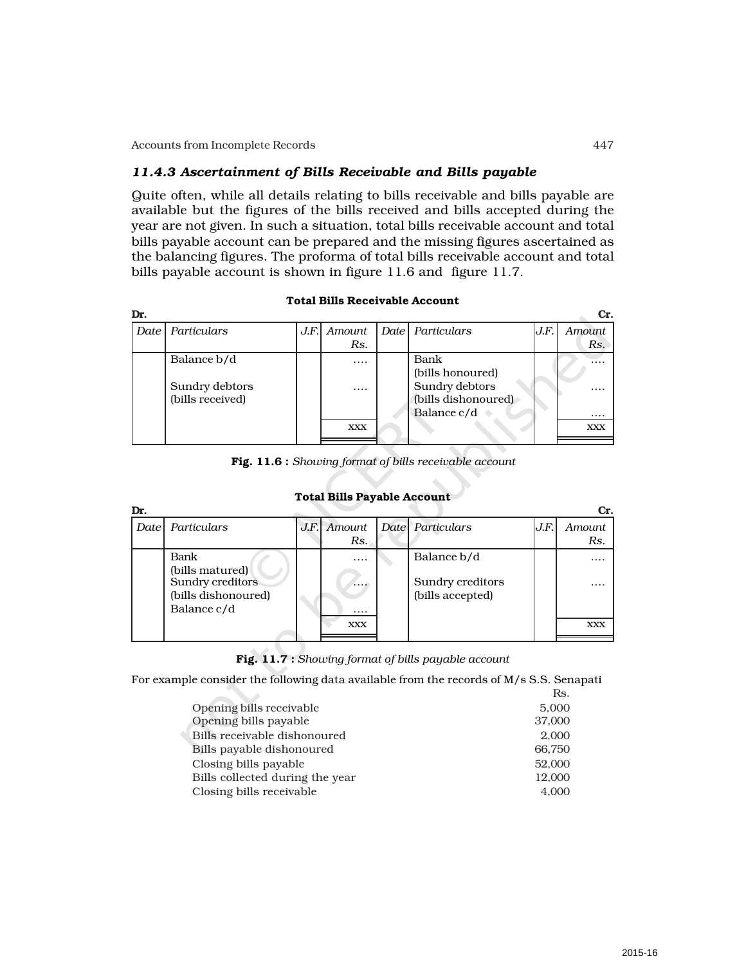## *11.4.3 Ascertainment of Bills Receivable and Bills payable*

Quite often, while all details relating to bills receivable and bills payable are available but the figures of the bills received and bills accepted during the year are not given. In such a situation, total bills receivable account and total bills payable account can be prepared and the missing figures ascertained as the balancing figures. The proforma of total bills receivable account and total bills payable account is shown in figure 11.6 and figure 11.7.

| Total Dhis Receivable Hecoghi |                  |      |          |  |                     |        |          |
|-------------------------------|------------------|------|----------|--|---------------------|--------|----------|
| Dr.                           |                  |      |          |  |                     |        | Cr.      |
|                               | Date Particulars | J.F. | Amount   |  | Date   Particulars  | l.J.F. | Amount   |
|                               |                  |      | Rs.      |  |                     |        | Rs.      |
|                               | Balance b/d      |      | $\cdots$ |  | Bank                |        | $\cdots$ |
|                               |                  |      |          |  | (bills honoured)    |        |          |
|                               | Sundry debtors   |      | $\cdots$ |  | Sundry debtors      |        | $\cdots$ |
|                               | (bills received) |      |          |  | (bills dishonoured) |        |          |
|                               |                  |      |          |  | Balance c/d         |        | $\cdots$ |

#### Total Bills Receivable Account

| Fig. 11.6 : Showing format of bills receivable account |
|--------------------------------------------------------|
|--------------------------------------------------------|

 $\overline{\text{xxx}}$  xxx

|  |  |  | <b>Total Bills Payable Account</b> |
|--|--|--|------------------------------------|
|--|--|--|------------------------------------|

| Dr.   |                                                                                   |                                  |                                                     |      | Cr.                  |
|-------|-----------------------------------------------------------------------------------|----------------------------------|-----------------------------------------------------|------|----------------------|
| Datel | Particulars                                                                       | J.F.I Amount<br>Rs.              | Date Particulars                                    | J.F. | Amount<br>Rs.        |
|       | Bank<br>(bills matured)<br>Sundry creditors<br>(bills dishonoured)<br>Balance c/d | $\cdots$<br>$\cdots$<br>$\cdots$ | Balance b/d<br>Sundry creditors<br>(bills accepted) |      | $\cdots$<br>$\cdots$ |
|       |                                                                                   | <b>XXX</b>                       |                                                     |      | XXX                  |

## Fig. 11.7 : *Showing format of bills payable account*

For example consider the following data available from the records of M/s S.S. Senapati

| Opening bills receivable<br>5,000         |  |
|-------------------------------------------|--|
|                                           |  |
| Opening bills payable<br>37,000           |  |
| Bills receivable dishonoured<br>2.000     |  |
| Bills payable dishonoured<br>66.750       |  |
| Closing bills payable<br>52,000           |  |
| Bills collected during the year<br>12.000 |  |
| Closing bills receivable<br>4.000         |  |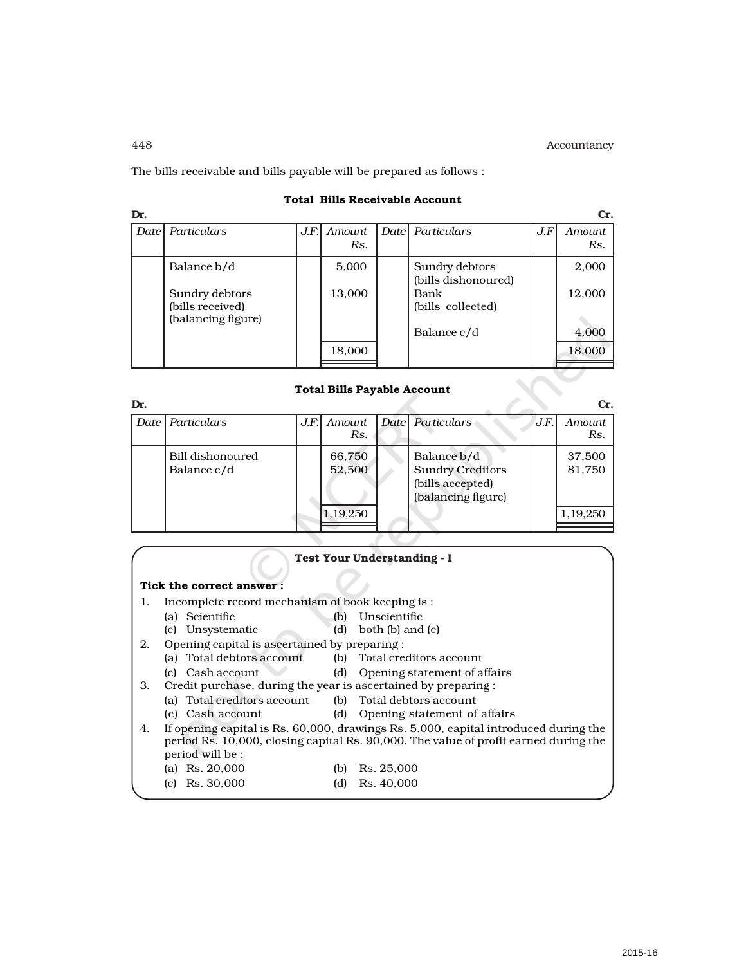The bills receivable and bills payable will be prepared as follows :

#### Total Bills Receivable Account

| Dr.  |                                        |      |         |   |                     |     | Cr.    |
|------|----------------------------------------|------|---------|---|---------------------|-----|--------|
| Date | Particulars                            | J.F. | Amount. |   | Date Particulars    | J.F | Amount |
|      |                                        |      | Rs.     |   |                     |     | Rs.    |
|      | Balance b/d                            |      | 5,000   |   | Sundry debtors      |     | 2,000  |
|      |                                        |      |         |   | (bills dishonoured) |     |        |
|      | Sundry debtors                         |      | 13,000  |   | Bank                |     | 12,000 |
|      | (bills received)<br>(balancing figure) |      |         |   | (bills collected)   |     |        |
|      |                                        |      |         |   | Balance c/d         |     | 4,000  |
|      |                                        |      | 18,000  |   |                     |     | 18,000 |
|      |                                        |      |         | . |                     |     |        |

## Total Bills Payable Account

| Dr. |                                 |                     |                                                                                  |       | Cr.              |
|-----|---------------------------------|---------------------|----------------------------------------------------------------------------------|-------|------------------|
|     | Date   Particulars              | J.F.  Amount<br>Rs. | Date Particulars                                                                 | IJ.F. | Amount<br>Rs.    |
|     | Bill dishonoured<br>Balance c/d | 66,750<br>52,500    | Balance b/d<br><b>Sundry Creditors</b><br>(bills accepted)<br>(balancing figure) |       | 37,500<br>81,750 |
|     |                                 | 1,19,250            |                                                                                  |       | 1,19,250         |
|     |                                 |                     |                                                                                  |       |                  |

|    |                                                               |     | Test Your Understanding - I                                                                                                                                                 |
|----|---------------------------------------------------------------|-----|-----------------------------------------------------------------------------------------------------------------------------------------------------------------------------|
|    | Tick the correct answer:                                      |     |                                                                                                                                                                             |
| 1. | Incomplete record mechanism of book keeping is:               |     |                                                                                                                                                                             |
|    | (a) Scientific                                                | (b) | Unscientific                                                                                                                                                                |
|    | Unsystematic<br>(c)                                           | (d) | both (b) and (c)                                                                                                                                                            |
| 2. | Opening capital is ascertained by preparing :                 |     |                                                                                                                                                                             |
|    | (a) Total debtors account                                     |     | (b) Total creditors account                                                                                                                                                 |
|    | (c) Cash account                                              | (d) | Opening statement of affairs                                                                                                                                                |
| 3. | Credit purchase, during the year is ascertained by preparing: |     |                                                                                                                                                                             |
|    | (a) Total creditors account                                   |     | (b) Total debtors account                                                                                                                                                   |
|    | (c) Cash account                                              | (d) | Opening statement of affairs                                                                                                                                                |
| 4. |                                                               |     | If opening capital is Rs. 60,000, drawings Rs. 5,000, capital introduced during the<br>period Rs. 10,000, closing capital Rs. 90,000. The value of profit earned during the |
|    | period will be:                                               |     |                                                                                                                                                                             |
|    | (a) Rs. 20,000                                                | (b) | Rs. 25,000                                                                                                                                                                  |
|    | Rs. 30,000<br>(c)                                             | (d) | Rs. 40,000                                                                                                                                                                  |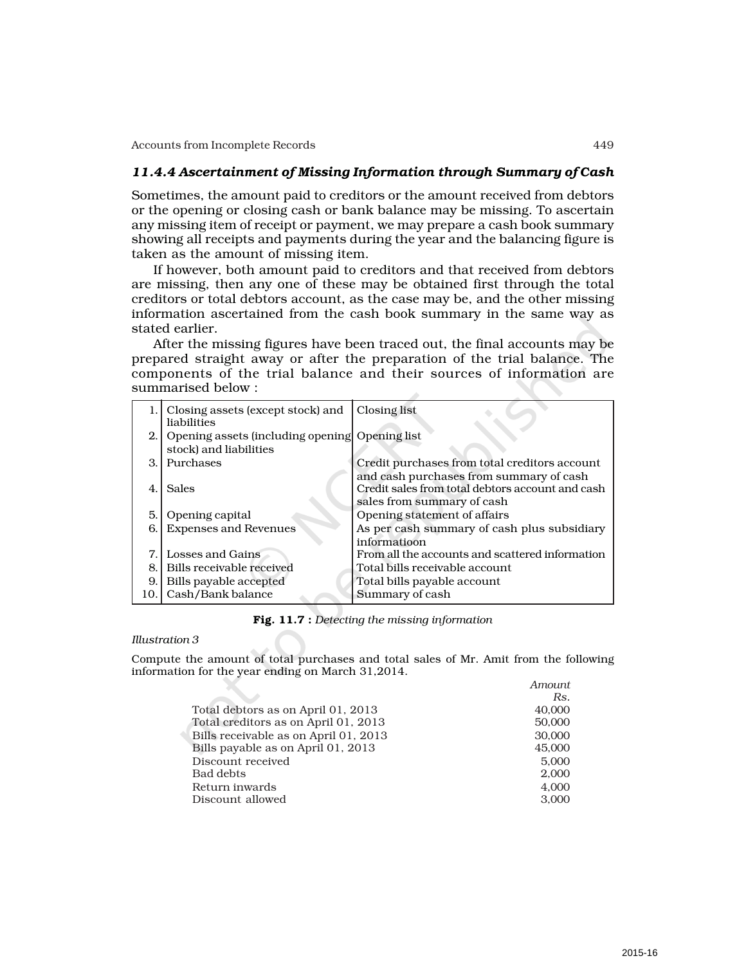### *11.4.4 Ascertainment of Missing Information through Summary of Cash*

Sometimes, the amount paid to creditors or the amount received from debtors or the opening or closing cash or bank balance may be missing. To ascertain any missing item of receipt or payment, we may prepare a cash book summary showing all receipts and payments during the year and the balancing figure is taken as the amount of missing item.

If however, both amount paid to creditors and that received from debtors are missing, then any one of these may be obtained first through the total creditors or total debtors account, as the case may be, and the other missing information ascertained from the cash book summary in the same way as stated earlier.

After the missing figures have been traced out, the final accounts may be prepared straight away or after the preparation of the trial balance. The components of the trial balance and their sources of information are summarised below :

| 1.             | Closing assets (except stock) and<br>liabilities                         | Closing list                                                                                                              |
|----------------|--------------------------------------------------------------------------|---------------------------------------------------------------------------------------------------------------------------|
| 2.             | Opening assets (including opening Opening list<br>stock) and liabilities |                                                                                                                           |
| 3.             | Purchases                                                                | Credit purchases from total creditors account                                                                             |
| $\overline{4}$ | <b>Sales</b>                                                             | and cash purchases from summary of cash<br>Credit sales from total debtors account and cash<br>sales from summary of cash |
| 5.             | Opening capital                                                          | Opening statement of affairs                                                                                              |
| 6.             | <b>Expenses and Revenues</b>                                             | As per cash summary of cash plus subsidiary                                                                               |
|                |                                                                          | informatioon                                                                                                              |
| 7.             | Losses and Gains                                                         | From all the accounts and scattered information                                                                           |
| 8.             | Bills receivable received                                                | Total bills receivable account                                                                                            |
| 9.             | Bills payable accepted                                                   | Total bills payable account                                                                                               |
| 10.            | Cash/Bank balance                                                        | Summary of cash                                                                                                           |

Fig. 11.7 : *Detecting the missing information*

#### *Illustration 3*

Compute the amount of total purchases and total sales of Mr. Amit from the following information for the year ending on March 31,2014. *Amount*

|                                       | Amoun  |
|---------------------------------------|--------|
|                                       | Rs.    |
| Total debtors as on April 01, 2013    | 40,000 |
| Total creditors as on April 01, 2013  | 50,000 |
| Bills receivable as on April 01, 2013 | 30,000 |
| Bills payable as on April 01, 2013    | 45,000 |
| Discount received                     | 5.000  |
| Bad debts                             | 2,000  |
| Return inwards                        | 4.000  |
| Discount allowed                      | 3.000  |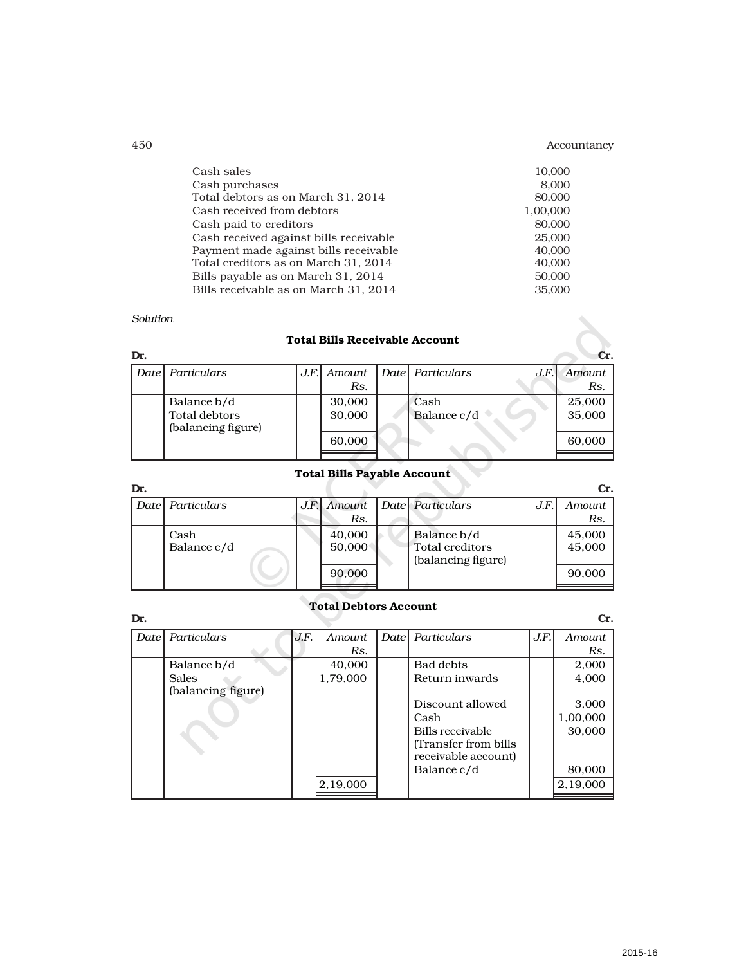| 10,000   |
|----------|
| 8.000    |
| 80,000   |
| 1,00,000 |
| 80,000   |
| 25,000   |
| 40,000   |
| 40,000   |
| 50,000   |
| 35,000   |
|          |

#### *Solution*

## Total Bills Receivable Account

| Dr. |                                     |              |                   |       | Cr.    |
|-----|-------------------------------------|--------------|-------------------|-------|--------|
|     | Datel Particulars                   | J.F.I Amount | Datel Particulars | IJ.F. | Amount |
|     |                                     | Rs.          |                   |       | Rs.    |
|     | Balance b/d                         | 30,000       | Cash              |       | 25,000 |
|     | Total debtors<br>(balancing figure) | 30,000       | Balance c/d       |       | 35,000 |
|     |                                     | 60,000       |                   |       | 60,000 |
|     |                                     |              |                   |       |        |

# Total Bills Payable Account

| Dr. |                     |      |                  |                                                             |       | Cr.              |
|-----|---------------------|------|------------------|-------------------------------------------------------------|-------|------------------|
|     | Datel Particulars   | J.F. | Amount           | Date Particulars                                            | IJ.F. | Amount           |
|     |                     |      | Rs.              |                                                             |       | Rs.              |
|     | Cash<br>Balance c/d |      | 40,000<br>50,000 | Balance b/d<br><b>Total creditors</b><br>(balancing figure) |       | 45,000<br>45,000 |
|     |                     |      | 90,000           |                                                             |       | 90,000           |
|     |                     |      |                  |                                                             |       |                  |

## Total Debtors Account

| Dr. |                    |      |          |                       |      | Cr.      |
|-----|--------------------|------|----------|-----------------------|------|----------|
|     | Date Particulars   | J.F. | Amount   | Date Particulars      | J.F. | Amount   |
|     |                    |      | Rs.      |                       |      | Rs.      |
|     | Balance b/d        |      | 40,000   | Bad debts             |      | 2,000    |
|     | <b>Sales</b>       |      | 1,79,000 | Return inwards        |      | 4,000    |
|     | (balancing figure) |      |          |                       |      |          |
|     |                    |      |          | Discount allowed      |      | 3,000    |
|     |                    |      |          | Cash                  |      | 1,00,000 |
|     |                    |      |          | Bills receivable      |      | 30,000   |
|     |                    |      |          | (Transfer from bills) |      |          |
|     |                    |      |          | receivable account)   |      |          |
|     |                    |      |          | Balance c/d           |      | 80,000   |
|     |                    |      | 2,19,000 |                       |      | 2,19,000 |
|     |                    |      |          |                       |      |          |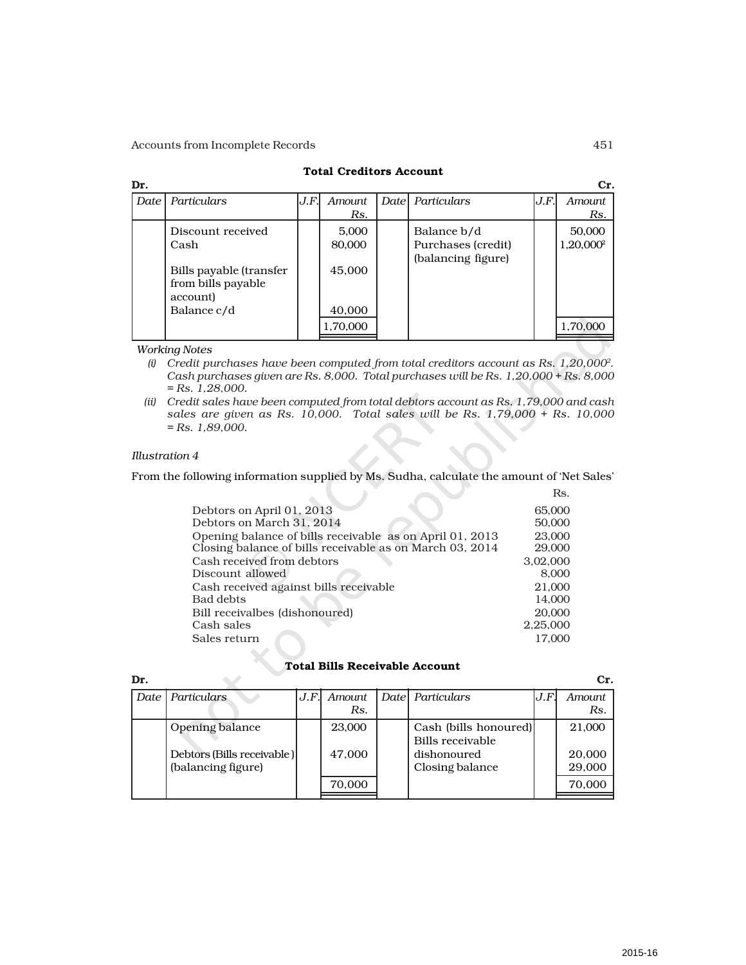| Dr. |                         |      |          |                    |                       | Cr.           |
|-----|-------------------------|------|----------|--------------------|-----------------------|---------------|
|     | Date   Particulars      | J.F. | Amount.  | Datel Particulars  | $\left  J.F. \right $ | <i>Amount</i> |
|     |                         |      | Rs.      |                    |                       | Rs.           |
|     | Discount received       |      | 5,000    | Balance b/d        |                       | 50,000        |
|     | Cash                    |      | 80,000   | Purchases (credit) |                       | $1,20,000^2$  |
|     |                         |      |          | (balancing figure) |                       |               |
|     | Bills payable (transfer |      | 45,000   |                    |                       |               |
|     | from bills payable      |      |          |                    |                       |               |
|     | account)                |      |          |                    |                       |               |
|     | Balance c/d             |      | 40,000   |                    |                       |               |
|     |                         |      | 1,70,000 |                    |                       | 1,70,000      |
|     |                         |      |          |                    |                       |               |

## Total Creditors Account

*Working Notes*

*(i) Credit purchases have been computed from total creditors account as Rs. 1,20,000<sup>2</sup> . Cash purchases given are Rs. 8,000. Total purchases will be Rs. 1,20,000 + Rs. 8,000 = Rs. 1,28,000.*

*(ii) Credit sales have been computed from total debtors account as Rs. 1,79,000 and cash sales are given as Rs. 10,000. Total sales will be Rs. 1,79,000 + Rs. 10,000 = Rs. 1,89,000.* 

#### *Illustration 4*

From the following information supplied by Ms. Sudha, calculate the amount of 'Net Sales'

|                                                          | Rs.      |
|----------------------------------------------------------|----------|
| Debtors on April 01, 2013                                | 65,000   |
| Debtors on March 31, 2014                                | 50,000   |
| Opening balance of bills receivable as on April 01, 2013 | 23,000   |
| Closing balance of bills receivable as on March 03, 2014 | 29,000   |
| Cash received from debtors                               | 3,02,000 |
| Discount allowed                                         | 8.000    |
| Cash received against bills receivable                   | 21,000   |
| Bad debts                                                | 14.000   |
| Bill receivalbes (dishonoured)                           | 20,000   |
| Cash sales                                               | 2,25,000 |
| Sales return                                             | 17.000   |
|                                                          |          |

#### Total Bills Receivable Account

| Dr. |                            |      |        |                       |        |         |
|-----|----------------------------|------|--------|-----------------------|--------|---------|
|     | Date   Particulars         | J.F. | Amount | Date Particulars      | l.J.F. | Amount. |
|     |                            |      | Rs.    |                       |        | Rs.     |
|     | Opening balance            |      | 23,000 | Cash (bills honoured) |        | 21,000  |
|     |                            |      |        | Bills receivable      |        |         |
|     | Debtors (Bills receivable) |      | 47.000 | dishonoured           |        | 20,000  |
|     | (balancing figure)         |      |        | Closing balance       |        | 29,000  |
|     |                            |      | 70.000 |                       |        | 70,000  |
|     |                            |      |        |                       |        |         |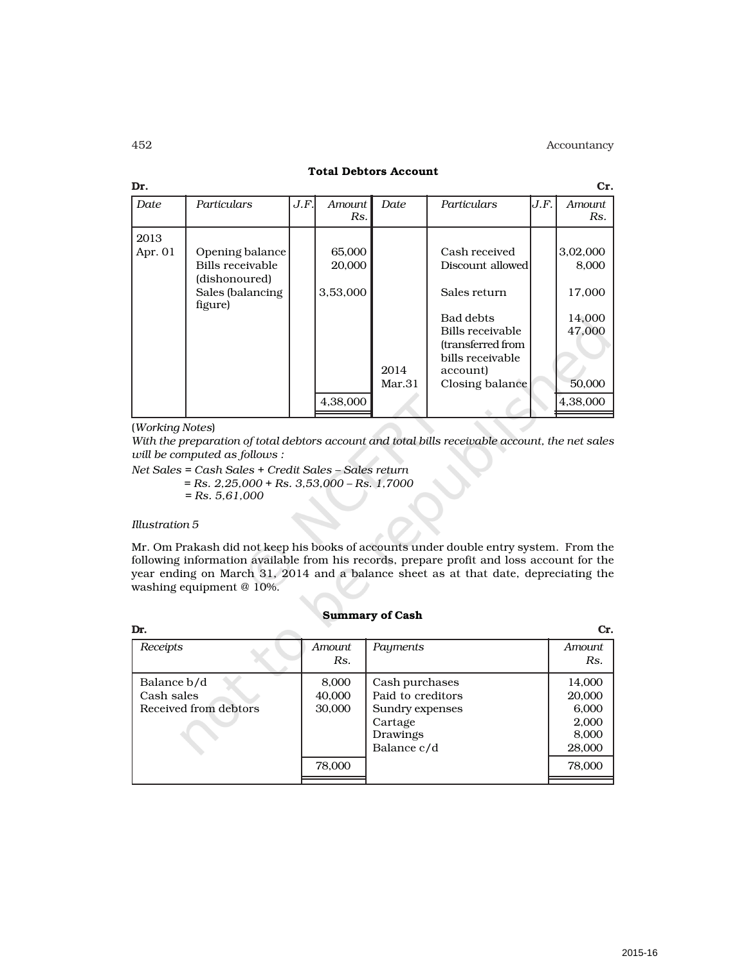| Dr.             |                                                                                     |      |                                          |                |                                                                                                                                                            |      | Cr.                                                                   |
|-----------------|-------------------------------------------------------------------------------------|------|------------------------------------------|----------------|------------------------------------------------------------------------------------------------------------------------------------------------------------|------|-----------------------------------------------------------------------|
| Date            | Particulars                                                                         | J.F. | Amount  <br>Rs.                          | Date           | Particulars                                                                                                                                                | J.F. | Amount<br>Rs.                                                         |
| 2013<br>Apr. 01 | Opening balance<br>Bills receivable<br>(dishonoured)<br>Sales (balancing<br>figure) |      | 65,000<br>20,000<br>3,53,000<br>4,38,000 | 2014<br>Mar.31 | Cash received<br>Discount allowed<br>Sales return<br>Bad debts<br>Bills receivable<br>(transferred from<br>bills receivable<br>account)<br>Closing balance |      | 3,02,000<br>8,000<br>17,000<br>14,000<br>47,000<br>50,000<br>4,38,000 |
|                 |                                                                                     |      |                                          |                |                                                                                                                                                            |      |                                                                       |

### Total Debtors Account

#### (*Working Notes*)

*With the preparation of total debtors account and total bills receivable account, the net sales will be computed as follows :*

*Net Sales = Cash Sales + Credit Sales – Sales return = Rs. 2,25,000 + Rs. 3,53,000 – Rs. 1,7000*

 *= Rs. 5,61,000*

#### *Illustration 5*

Mr. Om Prakash did not keep his books of accounts under double entry system. From the following information available from his records, prepare profit and loss account for the year ending on March 31, 2014 and a balance sheet as at that date, depreciating the washing equipment @ 10%.

#### Summary of Cash

| Dr.                   |        |                   | Cr.    |
|-----------------------|--------|-------------------|--------|
| Receipts              | Amount | Payments          | Amount |
|                       | Rs.    |                   | Rs.    |
| Balance b/d           | 8,000  | Cash purchases    | 14,000 |
| Cash sales            | 40,000 | Paid to creditors | 20,000 |
| Received from debtors | 30,000 | Sundry expenses   | 6,000  |
|                       |        | Cartage           | 2,000  |
|                       |        | Drawings          | 8,000  |
|                       |        | Balance c/d       | 28,000 |
|                       | 78,000 |                   | 78,000 |
|                       |        |                   |        |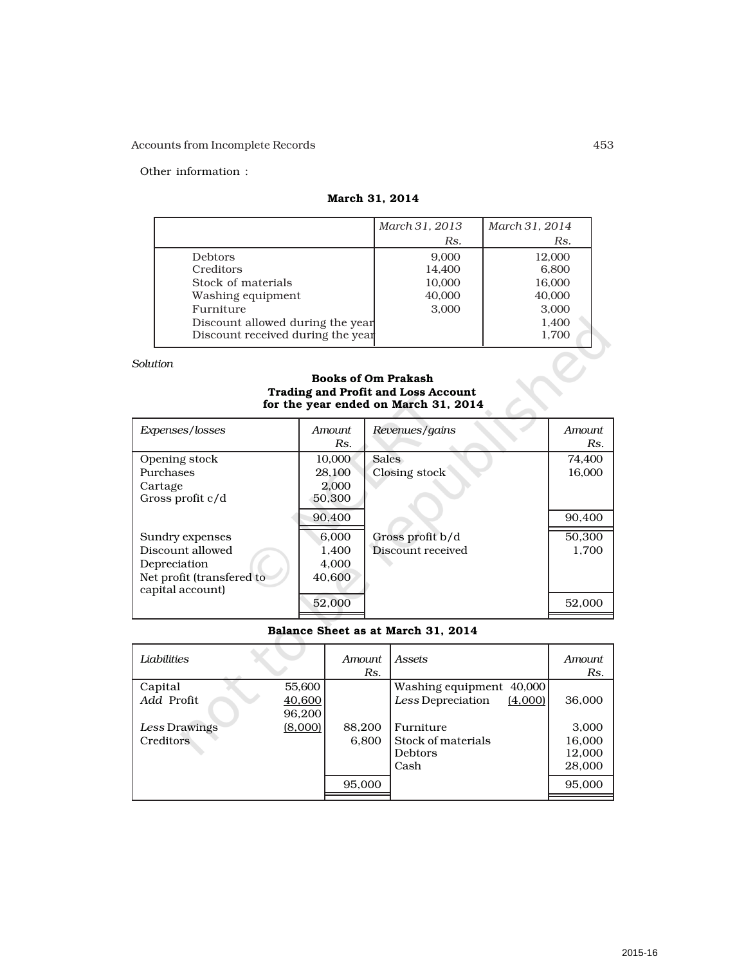### Other information :

## March 31, 2014

|                                   |        | March 31, 2014 |
|-----------------------------------|--------|----------------|
|                                   | Rs.    | Rs.            |
| <b>Debtors</b>                    | 9.000  | 12.000         |
| Creditors                         | 14,400 | 6.800          |
| Stock of materials                | 10,000 | 16,000         |
| Washing equipment                 | 40,000 | 40,000         |
| Furniture                         | 3.000  | 3,000          |
| Discount allowed during the year  |        | 1,400          |
| Discount received during the year |        | 1,700          |

*Solution*

#### Books of Om Prakash Trading and Profit and Loss Account for the year ended on March 31, 2014

| Expenses/losses           | Amount<br>Rs. | Revenues/gains    | Amount<br>Rs. |
|---------------------------|---------------|-------------------|---------------|
| Opening stock             | 10.000        | Sales             | 74.400        |
| Purchases                 | 28.100        | Closing stock     | 16,000        |
| Cartage                   | 2,000         |                   |               |
| Gross profit c/d          | 50,300        |                   |               |
|                           | 90,400        |                   | 90,400        |
| Sundry expenses           | 6,000         | Gross profit b/d  | 50,300        |
| Discount allowed          | 1,400         | Discount received | 1,700         |
| Depreciation              | 4.000         |                   |               |
| Net profit (transfered to | 40.600        |                   |               |
| capital account)          |               |                   |               |
|                           | 52,000        |                   | 52,000        |

## Balance Sheet as at March 31, 2014

| Liabilities                |                            | Amount<br>Rs.   | <b>Assets</b>                                             | Amount<br>Rs.                       |
|----------------------------|----------------------------|-----------------|-----------------------------------------------------------|-------------------------------------|
| Capital<br>Add Profit      | 55,600<br>40,600<br>96,200 |                 | Washing equipment 40,000<br>Less Depreciation<br>(4.000)  | 36,000                              |
| Less Drawings<br>Creditors | (8,000)                    | 88,200<br>6.800 | Furniture<br>Stock of materials<br><b>Debtors</b><br>Cash | 3,000<br>16,000<br>12,000<br>28,000 |
|                            |                            | 95,000          |                                                           | 95,000                              |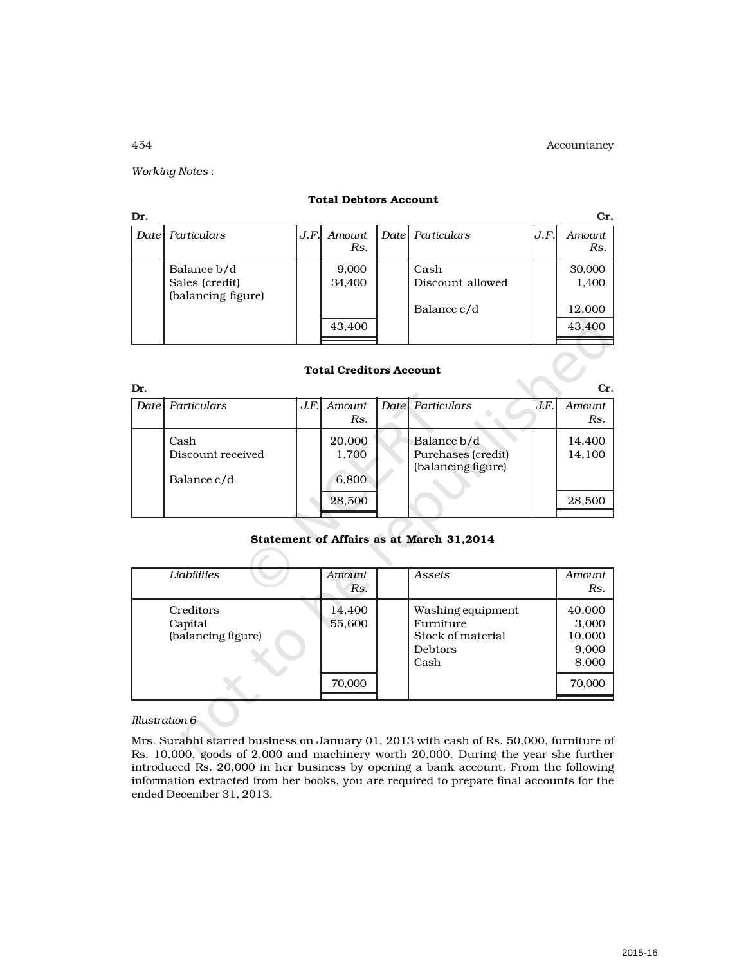*Working Notes* :

## Total Debtors Account

| Dr.   |                                                     |      |                 |                          |      | Cr.             |
|-------|-----------------------------------------------------|------|-----------------|--------------------------|------|-----------------|
| Datel | Particulars                                         | J.F. | Amount<br>Rs.   | Datel Particulars        | J.F. | Amount.<br>Rs.  |
|       | Balance b/d<br>Sales (credit)<br>(balancing figure) |      | 9,000<br>34,400 | Cash<br>Discount allowed |      | 30,000<br>1,400 |
|       |                                                     |      |                 | Balance c/d              |      | 12,000          |
|       |                                                     |      | 43,400          |                          |      | 43,400          |
|       |                                                     |      |                 |                          |      |                 |

#### Total Creditors Account

| Dr. |                   |      |        |                                          |      | Cr.    |
|-----|-------------------|------|--------|------------------------------------------|------|--------|
|     | Datel Particulars | J.F. | Amount | Date Particulars                         | J.F. | Amount |
|     |                   |      | Rs.    |                                          |      | Rs.    |
|     | Cash              |      | 20,000 | Balance b/d                              |      | 14,400 |
|     | Discount received |      | 1,700  | Purchases (credit)<br>(balancing figure) |      | 14,100 |
|     | Balance c/d       |      | 6,800  |                                          |      |        |
|     |                   |      | 28,500 |                                          |      | 28,500 |
|     |                   |      |        |                                          |      |        |

## Statement of Affairs as at March 31,2014

S.

 $\sqrt{2}$ 

| Liabilities                                | Amount<br>Rs.    | Assets                                                                        | Amount<br>Rs.                               |
|--------------------------------------------|------------------|-------------------------------------------------------------------------------|---------------------------------------------|
| Creditors<br>Capital<br>(balancing figure) | 14,400<br>55,600 | Washing equipment<br>Furniture<br>Stock of material<br><b>Debtors</b><br>Cash | 40,000<br>3,000<br>10,000<br>9,000<br>8,000 |
|                                            | 70,000           |                                                                               | 70,000                                      |

#### *Illustration 6*

Mrs. Surabhi started business on January 01, 2013 with cash of Rs. 50,000, furniture of Rs. 10,000, goods of 2,000 and machinery worth 20,000. During the year she further introduced Rs. 20,000 in her business by opening a bank account. From the following information extracted from her books, you are required to prepare final accounts for the ended December 31, 2013.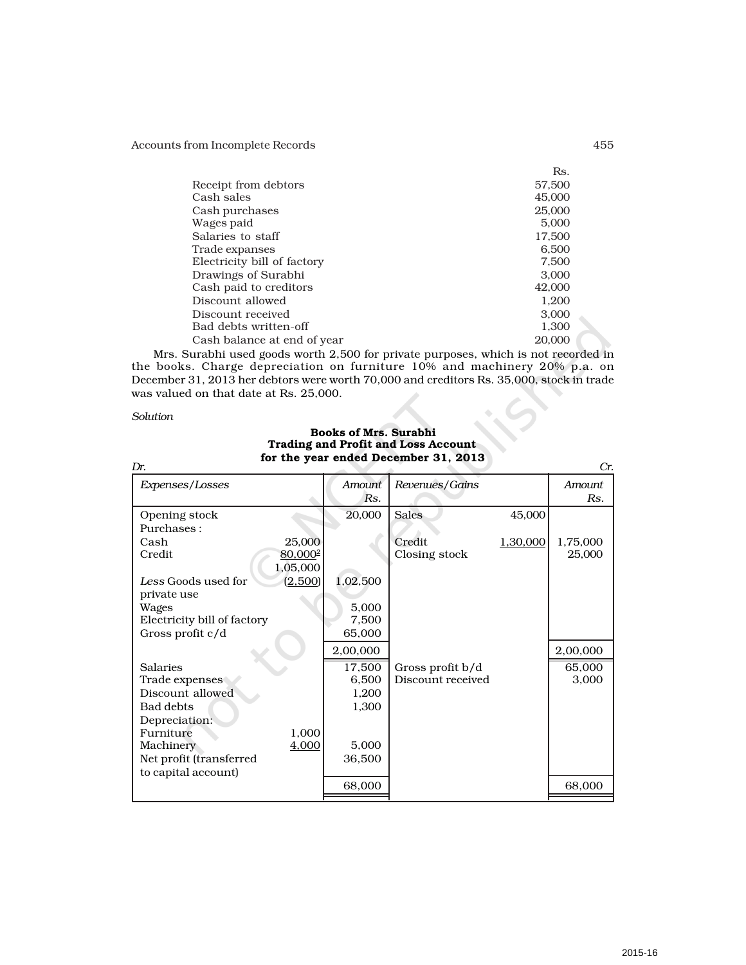|                             | Rs.    |
|-----------------------------|--------|
| Receipt from debtors        | 57,500 |
| Cash sales                  | 45,000 |
| Cash purchases              | 25,000 |
| Wages paid                  | 5,000  |
| Salaries to staff           | 17,500 |
| Trade expanses              | 6.500  |
| Electricity bill of factory | 7.500  |
| Drawings of Surabhi         | 3.000  |
| Cash paid to creditors      | 42,000 |
| Discount allowed            | 1,200  |
| Discount received           | 3.000  |
| Bad debts written-off       | 1,300  |
| Cash balance at end of year | 20,000 |
|                             |        |

Mrs. Surabhi used goods worth 2,500 for private purposes, which is not recorded in the books. Charge depreciation on furniture 10% and machinery 20% p.a. on December 31, 2013 her debtors were worth 70,000 and creditors Rs. 35,000, stock in trade was valued on that date at Rs. 25,000.

#### *Solution*

# Books of Mrs. Surabhi Trading and Profit and Loss Account

| for the year ended December 31, 2013<br>Dr.<br>Cr.                                                                                                                                |                                                      |                                       |          |                    |  |  |  |
|-----------------------------------------------------------------------------------------------------------------------------------------------------------------------------------|------------------------------------------------------|---------------------------------------|----------|--------------------|--|--|--|
| Expenses/Losses                                                                                                                                                                   | Amount<br>Rs.                                        | Revenues/Gains                        |          | Amount<br>Rs.      |  |  |  |
| Opening stock<br>Purchases:                                                                                                                                                       | 20,000                                               | <b>Sales</b>                          | 45,000   |                    |  |  |  |
| 25,000<br>Cash<br>80,000 <sup>2</sup><br>Credit<br>1,05,000                                                                                                                       |                                                      | Credit<br>Closing stock               | 1,30,000 | 1,75,000<br>25,000 |  |  |  |
| (2,500)<br>Less Goods used for<br>private use                                                                                                                                     | 1,02,500                                             |                                       |          |                    |  |  |  |
| <b>Wages</b><br>Electricity bill of factory                                                                                                                                       | 5,000<br>7,500                                       |                                       |          |                    |  |  |  |
| Gross profit c/d                                                                                                                                                                  | 65,000<br>2,00,000                                   |                                       |          | 2,00,000           |  |  |  |
| <b>Salaries</b><br>Trade expenses<br>Discount allowed<br>Bad debts<br>Depreciation:<br>Furniture<br>1,000<br>4,000<br>Machinery<br>Net profit (transferred<br>to capital account) | 17,500<br>6,500<br>1,200<br>1,300<br>5,000<br>36,500 | Gross profit b/d<br>Discount received |          | 65,000<br>3,000    |  |  |  |
|                                                                                                                                                                                   | 68,000                                               |                                       |          | 68,000             |  |  |  |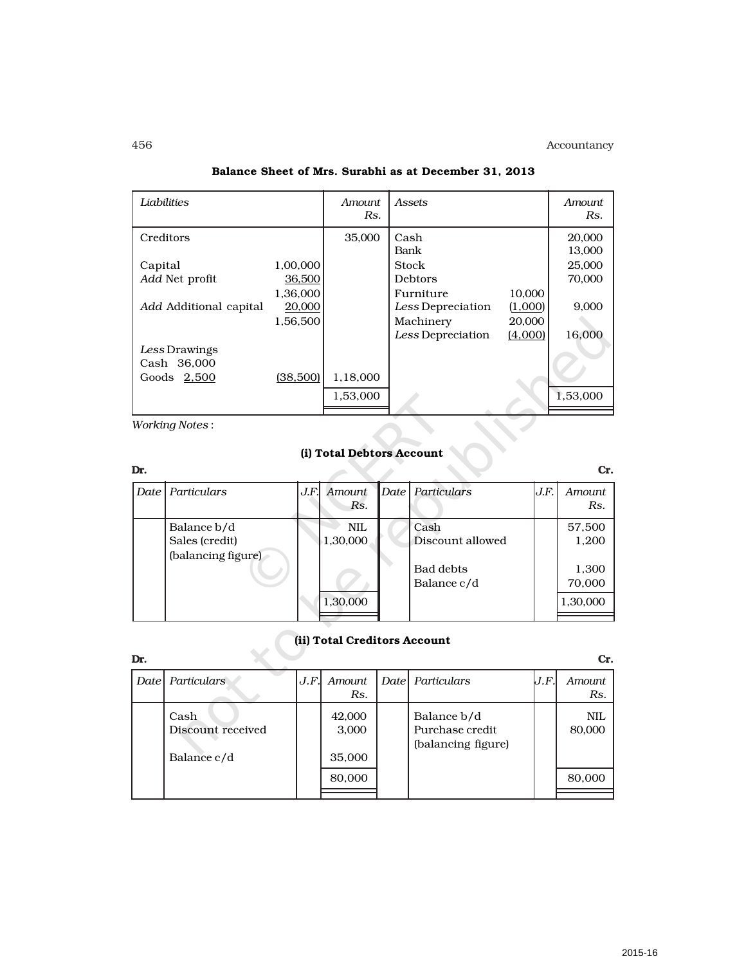| Liabilities                                 |                    | Amount.<br>Rs. | Assets                         |                   | Amount.<br>Rs.   |
|---------------------------------------------|--------------------|----------------|--------------------------------|-------------------|------------------|
| Creditors                                   |                    | 35,000         | Cash<br>Bank                   |                   | 20,000<br>13,000 |
| Capital<br>Add Net profit                   | 1,00,000<br>36,500 |                | <b>Stock</b><br><b>Debtors</b> |                   | 25,000<br>70,000 |
| Add Additional capital                      | 1,36,000<br>20,000 |                | Furniture<br>Less Depreciation | 10.000<br>(1,000) | 9,000            |
|                                             | 1,56,500           |                | Machinery<br>Less Depreciation | 20,000<br>(4,000) | 16,000           |
| Less Drawings<br>Cash 36,000<br>Goods 2,500 | (38,500)           | 1,18,000       |                                |                   |                  |
|                                             |                    | 1,53,000       |                                |                   | 1,53,000         |

## Balance Sheet of Mrs. Surabhi as at December 31, 2013

*Working Notes* :

## (i) Total Debtors Account

| Dr. |                                                     |      |                             |                                                      |       | Cr.                                            |
|-----|-----------------------------------------------------|------|-----------------------------|------------------------------------------------------|-------|------------------------------------------------|
|     | Date   Particulars                                  | J.F. | Amount<br>Rs.               | Date   Particulars                                   | IJ.F. | <i>Amount</i><br>Rs.                           |
|     | Balance b/d<br>Sales (credit)<br>(balancing figure) |      | NIL<br>1,30,000<br>1,30,000 | Cash<br>Discount allowed<br>Bad debts<br>Balance c/d |       | 57,500<br>1,200<br>1,300<br>70,000<br>1,30,000 |

## (ii) Total Creditors Account

| Dr. |                                          |      |                           |                                                      |      | Cr.                  |
|-----|------------------------------------------|------|---------------------------|------------------------------------------------------|------|----------------------|
|     | Datel Particulars                        | J.F. | Amount<br>Rs.             | Datel Particulars                                    | U.F. | Amount.<br>Rs.       |
|     | Cash<br>Discount received<br>Balance c/d |      | 42,000<br>3,000<br>35,000 | Balance b/d<br>Purchase credit<br>(balancing figure) |      | <b>NIL</b><br>80,000 |
|     |                                          |      | 80,000                    |                                                      |      | 80,000               |
|     |                                          |      |                           |                                                      |      |                      |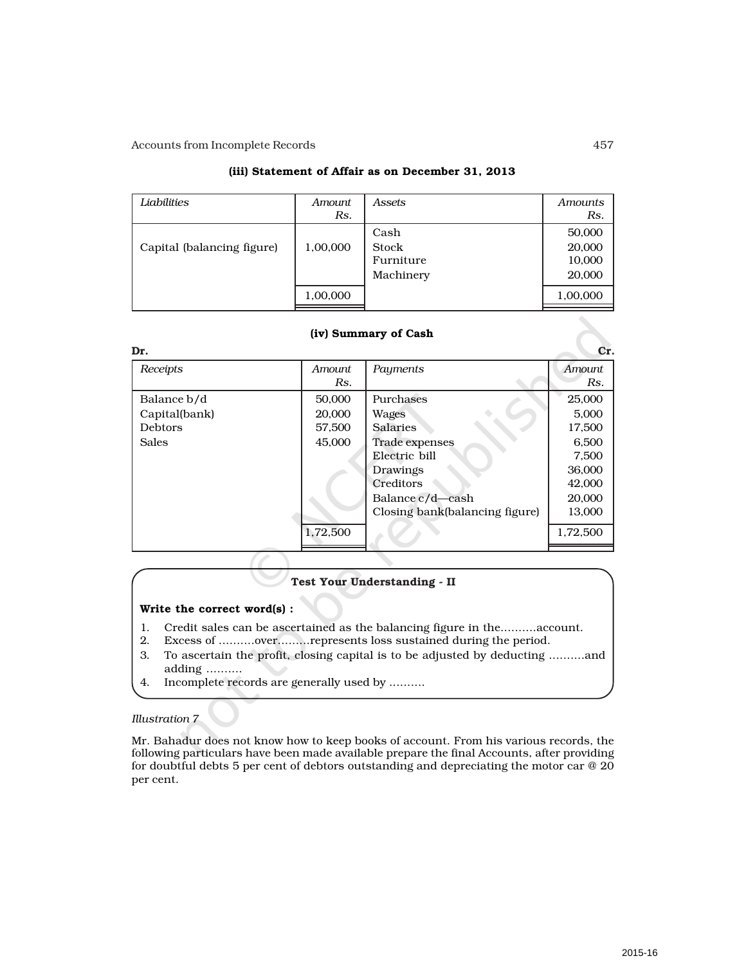## (iii) Statement of Affair as on December 31, 2013

| Liabilities                | Amount<br>Rs. | Assets                                  | Amounts<br>Rs.                       |
|----------------------------|---------------|-----------------------------------------|--------------------------------------|
| Capital (balancing figure) | 1,00,000      | Cash<br>Stock<br>Furniture<br>Machinery | 50,000<br>20,000<br>10,000<br>20,000 |
|                            | 1,00,000      |                                         | 1,00,000                             |

|  | (iv) Summary of Cash |  |  |
|--|----------------------|--|--|
|--|----------------------|--|--|

| Dr.           |          |                                | Cr.      |
|---------------|----------|--------------------------------|----------|
| Receipts      | Amount   | Payments                       | Amount   |
|               | Rs.      |                                | Rs.      |
| Balance b/d   | 50,000   | Purchases                      | 25,000   |
| Capital(bank) | 20,000   | Wages                          | 5,000    |
| Debtors       | 57,500   | <b>Salaries</b>                | 17,500   |
| <b>Sales</b>  | 45,000   | Trade expenses                 | 6,500    |
|               |          | Electric bill                  | 7,500    |
|               |          | Drawings                       | 36,000   |
|               |          | Creditors                      | 42,000   |
|               |          | Balance c/d-cash               | 20,000   |
|               |          | Closing bank(balancing figure) | 13,000   |
|               | 1,72,500 |                                | 1,72,500 |
|               |          |                                |          |

#### Test Your Understanding - II

## Write the correct word(s) :

- 1. Credit sales can be ascertained as the balancing figure in the..........account.
- 2. Excess of ..........over.........represents loss sustained during the period.
- 3. To ascertain the profit, closing capital is to be adjusted by deducting ..........and adding ..........
- 4. Incomplete records are generally used by ..........

## *Illustration 7*

Mr. Bahadur does not know how to keep books of account. From his various records, the following particulars have been made available prepare the final Accounts, after providing for doubtful debts 5 per cent of debtors outstanding and depreciating the motor car @ 20 per cent.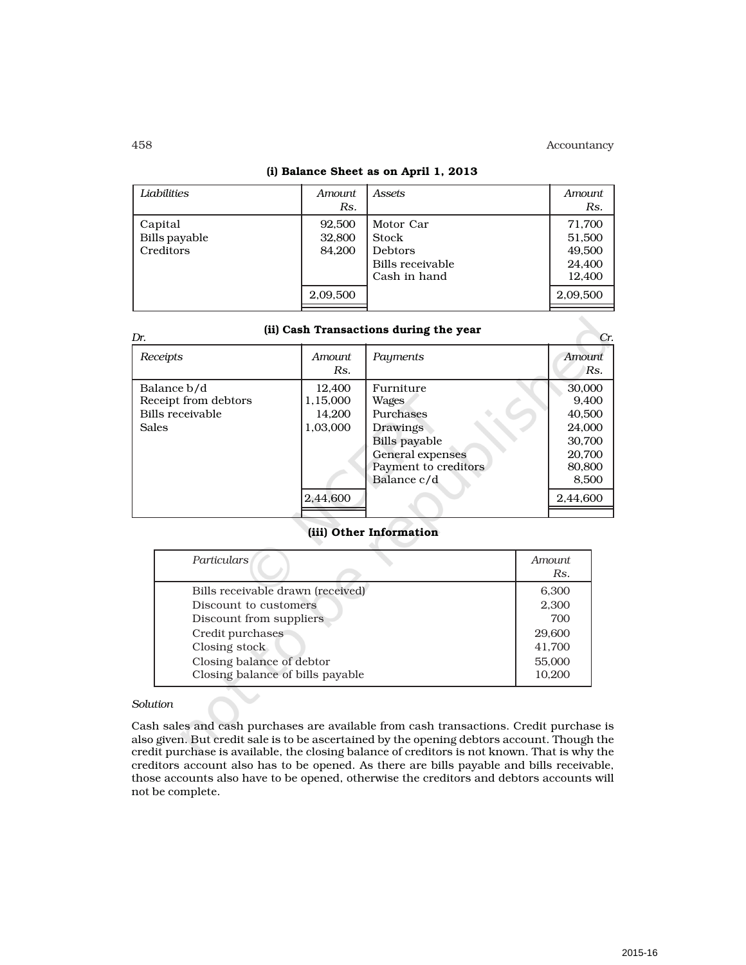| Liabilities   | Amount.  | Assets           | Amount   |
|---------------|----------|------------------|----------|
|               | Rs.      |                  | Rs.      |
| Capital       | 92,500   | Motor Car        | 71,700   |
| Bills payable | 32,800   | <b>Stock</b>     | 51,500   |
| Creditors     | 84.200   | Debtors          | 49,500   |
|               |          | Bills receivable | 24.400   |
|               |          | Cash in hand     | 12,400   |
|               | 2,09,500 |                  | 2,09,500 |
|               |          |                  |          |

### (i) Balance Sheet as on April 1, 2013

| (ii) Cash Transactions during the year<br>Dr.                           |                                                      |                                                                                                                         |                                                                                        |  |  |  |  |
|-------------------------------------------------------------------------|------------------------------------------------------|-------------------------------------------------------------------------------------------------------------------------|----------------------------------------------------------------------------------------|--|--|--|--|
| Receipts                                                                | Amount<br>Rs.                                        | Payments                                                                                                                | Amount<br>Rs.                                                                          |  |  |  |  |
| Balance b/d<br>Receipt from debtors<br>Bills receivable<br><b>Sales</b> | 12.400<br>1,15,000<br>14,200<br>1.03.000<br>2,44,600 | Furniture<br>Wages<br>Purchases<br>Drawings<br>Bills payable<br>General expenses<br>Payment to creditors<br>Balance c/d | 30,000<br>9.400<br>40,500<br>24,000<br>30,700<br>20.700<br>80,800<br>8,500<br>2.44.600 |  |  |  |  |
|                                                                         |                                                      |                                                                                                                         |                                                                                        |  |  |  |  |

## (iii) Other Information

| <b>Particulars</b>                | Amount.<br>Rs. |
|-----------------------------------|----------------|
| Bills receivable drawn (received) | 6,300          |
| Discount to customers             | 2,300          |
| Discount from suppliers           | 700            |
| Credit purchases                  | 29,600         |
| Closing stock                     | 41,700         |
| Closing balance of debtor         | 55,000         |
| Closing balance of bills payable  | 10,200         |

#### *Solution*

Cash sales and cash purchases are available from cash transactions. Credit purchase is also given. But credit sale is to be ascertained by the opening debtors account. Though the credit purchase is available, the closing balance of creditors is not known. That is why the creditors account also has to be opened. As there are bills payable and bills receivable, those accounts also have to be opened, otherwise the creditors and debtors accounts will not be complete.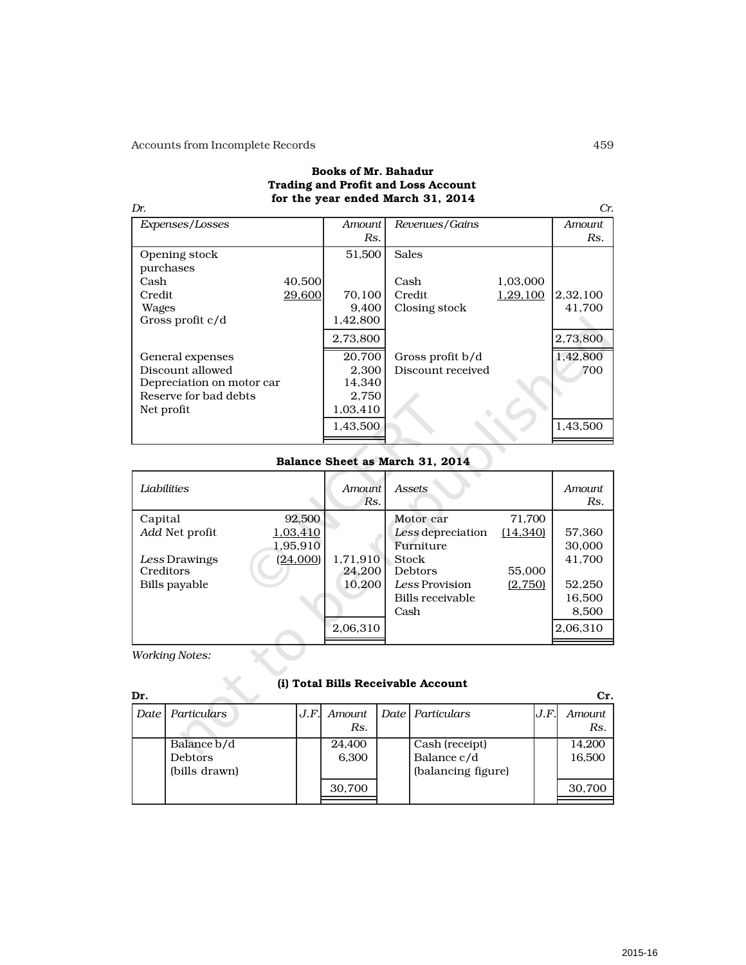### Books of Mr. Bahadur Trading and Profit and Loss Account for the year ended March 31, 2014

| Dr.                       |        |          |                   |          | Cr.      |
|---------------------------|--------|----------|-------------------|----------|----------|
| Expenses/Losses           |        | Amount   | Revenues/Gains    |          | Amount   |
|                           |        | Rs.      |                   |          | Rs.      |
| Opening stock             |        | 51,500   | Sales             |          |          |
| purchases                 |        |          |                   |          |          |
| Cash                      | 40,500 |          | Cash              | 1,03,000 |          |
| Credit                    | 29,600 | 70.100   | Credit            | 1,29,100 | 2,32,100 |
| Wages                     |        | 9.400    | Closing stock     |          | 41,700   |
| Gross profit c/d          |        | 1,42,800 |                   |          |          |
|                           |        | 2,73,800 |                   |          | 2,73,800 |
| General expenses          |        | 20,700   | Gross profit b/d  |          | 1,42,800 |
| Discount allowed          |        | 2,300    | Discount received |          | 700      |
| Depreciation on motor car |        | 14,340   |                   |          |          |
| Reserve for bad debts     |        | 2,750    |                   |          |          |
| Net profit                |        | 1,03,410 |                   |          |          |
|                           |        | 1,43,500 |                   |          | 1,43,500 |
|                           |        |          |                   |          |          |

## Balance Sheet as March 31, 2014

| Liabilities               |                    | Amount<br>Rs. | Assets                         |                    | Amount.<br>Rs. |
|---------------------------|--------------------|---------------|--------------------------------|--------------------|----------------|
| Capital<br>Add Net profit | 92,500<br>1,03,410 |               | Motor car<br>Less depreciation | 71,700<br>(14,340) | 57,360         |
|                           | 1,95,910           |               | Furniture                      |                    | 30,000         |
| Less Drawings             | (24,000)           | 1,71,910      | <b>Stock</b>                   |                    | 41,700         |
| Creditors                 |                    | 24,200        | <b>Debtors</b>                 | 55,000             |                |
| Bills payable             |                    | 10.200        | Less Provision                 | (2,750)            | 52,250         |
|                           |                    |               | Bills receivable               |                    | 16,500         |
|                           |                    |               | Cash                           |                    | 8,500          |
|                           |                    | 2,06,310      |                                |                    | 2,06,310       |

*Working Notes:*

# (i) Total Bills Receivable Account

| Dr. |                                                |      |                 |                                                     |       | Cr.              |
|-----|------------------------------------------------|------|-----------------|-----------------------------------------------------|-------|------------------|
|     | Date   Particulars                             | J.F. | Amount<br>Rs.   | Date   Particulars                                  | IJ.F. | Amount.<br>Rs.   |
|     | Balance b/d<br><b>Debtors</b><br>(bills drawn) |      | 24.400<br>6,300 | Cash (receipt)<br>Balance c/d<br>(balancing figure) |       | 14,200<br>16,500 |
|     |                                                |      | 30,700          |                                                     |       | 30,700           |
|     |                                                |      |                 |                                                     |       |                  |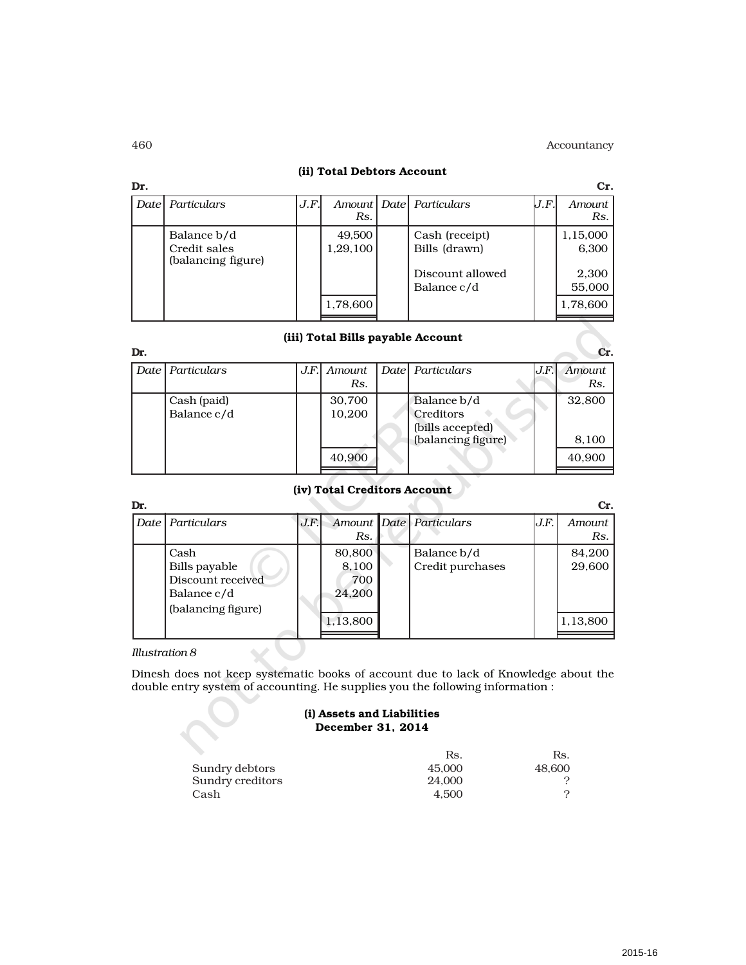| Dr.   |                                                   |      |                    |                                                                    |      | Cr.                                  |
|-------|---------------------------------------------------|------|--------------------|--------------------------------------------------------------------|------|--------------------------------------|
| Datel | Particulars                                       | J.F. | Rs.                | Amount   Date   Particulars                                        | J.F. | Amount<br>Rs.                        |
|       | Balance b/d<br>Credit sales<br>(balancing figure) |      | 49,500<br>1,29,100 | Cash (receipt)<br>Bills (drawn)<br>Discount allowed<br>Balance c/d |      | 1,15,000<br>6,300<br>2,300<br>55,000 |
|       |                                                   |      | 1,78,600           |                                                                    |      | 1,78,600                             |
|       |                                                   |      |                    |                                                                    |      |                                      |

## (ii) Total Debtors Account

## (iii) Total Bills payable Account

| Dr. |                    |       |        |                    |       | Cr.           |
|-----|--------------------|-------|--------|--------------------|-------|---------------|
|     | Date   Particulars | J.F.I | Amount | Datel Particulars  | .J.F. | <b>Amount</b> |
|     |                    |       | Rs.    |                    |       | Rs.           |
|     | Cash (paid)        |       | 30,700 | Balance b/d        |       | 32,800        |
|     | Balance c/d        |       | 10,200 | Creditors          |       |               |
|     |                    |       |        | (bills accepted)   |       |               |
|     |                    |       |        | (balancing figure) |       | 8,100         |
|     |                    |       | 40,900 |                    |       | 40,900        |
|     |                    |       |        |                    |       |               |

## (iv) Total Creditors Account

| Dr. |                    |      |          |                         |      | Cr.      |
|-----|--------------------|------|----------|-------------------------|------|----------|
|     | Date   Particulars | J.F. |          | Amount Date Particulars | J.F. | Amount.  |
|     |                    |      | Rs.      |                         |      | Rs.      |
|     | Cash               |      | 80,800   | Balance b/d             |      | 84,200   |
|     | Bills payable      |      | 8,100    | Credit purchases        |      | 29,600   |
|     | Discount received  |      | 700      |                         |      |          |
|     | Balance c/d        |      | 24,200   |                         |      |          |
|     | (balancing figure) |      |          |                         |      |          |
|     |                    |      | 1,13,800 |                         |      | 1,13,800 |
|     |                    |      |          |                         |      |          |

#### *Illustration 8*

Dinesh does not keep systematic books of account due to lack of Knowledge about the double entry system of accounting. He supplies you the following information :

## (i) Assets and Liabilities December 31, 2014

|                  | Rs.    | Rs.    |
|------------------|--------|--------|
| Sundry debtors   | 45,000 | 48,600 |
| Sundry creditors | 24,000 |        |
| Cash             | 4.500  |        |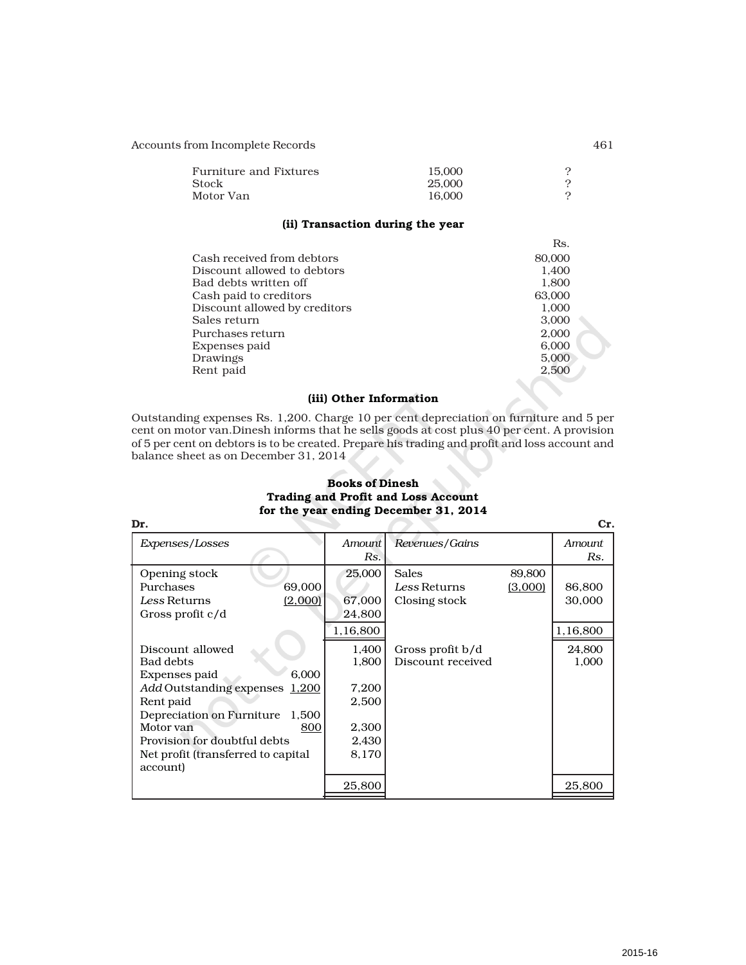| <b>Furniture and Fixtures</b> | 15,000 |  |
|-------------------------------|--------|--|
| Stock                         | 25,000 |  |
| Motor Van                     | 16,000 |  |

## (ii) Transaction during the year

|                               | Rs.    |
|-------------------------------|--------|
| Cash received from debtors    | 80,000 |
| Discount allowed to debtors   | 1,400  |
| Bad debts written off         | 1,800  |
| Cash paid to creditors        | 63,000 |
| Discount allowed by creditors | 1.000  |
| Sales return                  | 3,000  |
| Purchases return              | 2.000  |
| Expenses paid                 | 6,000  |
| Drawings                      | 5,000  |
| Rent paid                     | 2,500  |
|                               |        |

## (iii) Other Information

Outstanding expenses Rs. 1,200. Charge 10 per cent depreciation on furniture and 5 per cent on motor van.Dinesh informs that he sells goods at cost plus 40 per cent. A provision of 5 per cent on debtors is to be created. Prepare his trading and profit and loss account and balance sheet as on December 31, 2014

### Books of Dinesh Trading and Profit and Loss Account for the year ending December 31, 2014

| Dr.                                |               |                   |         | Cr.      |
|------------------------------------|---------------|-------------------|---------|----------|
| Expenses/Losses                    | <i>Amount</i> | Revenues/Gains    |         | Amount   |
|                                    | Rs.           |                   |         | Rs.      |
| Opening stock                      | 25,000        | <b>Sales</b>      | 89,800  |          |
| 69,000<br>Purchases                |               | Less Returns      | (3,000) | 86,800   |
| (2,000)<br>Less Returns            | 67,000        | Closing stock     |         | 30,000   |
| Gross profit c/d                   | 24,800        |                   |         |          |
|                                    | 1,16,800      |                   |         | 1,16,800 |
| Discount allowed                   | 1,400         | Gross profit b/d  |         | 24,800   |
| Bad debts                          | 1,800         | Discount received |         | 1,000    |
| 6.000<br>Expenses paid             |               |                   |         |          |
| Add Outstanding expenses 1,200     | 7,200         |                   |         |          |
| Rent paid                          | 2,500         |                   |         |          |
| Depreciation on Furniture<br>1,500 |               |                   |         |          |
| Motor van<br>800                   | 2,300         |                   |         |          |
| Provision for doubtful debts       | 2,430         |                   |         |          |
| Net profit (transferred to capital | 8,170         |                   |         |          |
| account)                           |               |                   |         |          |
|                                    | 25,800        |                   |         | 25,800   |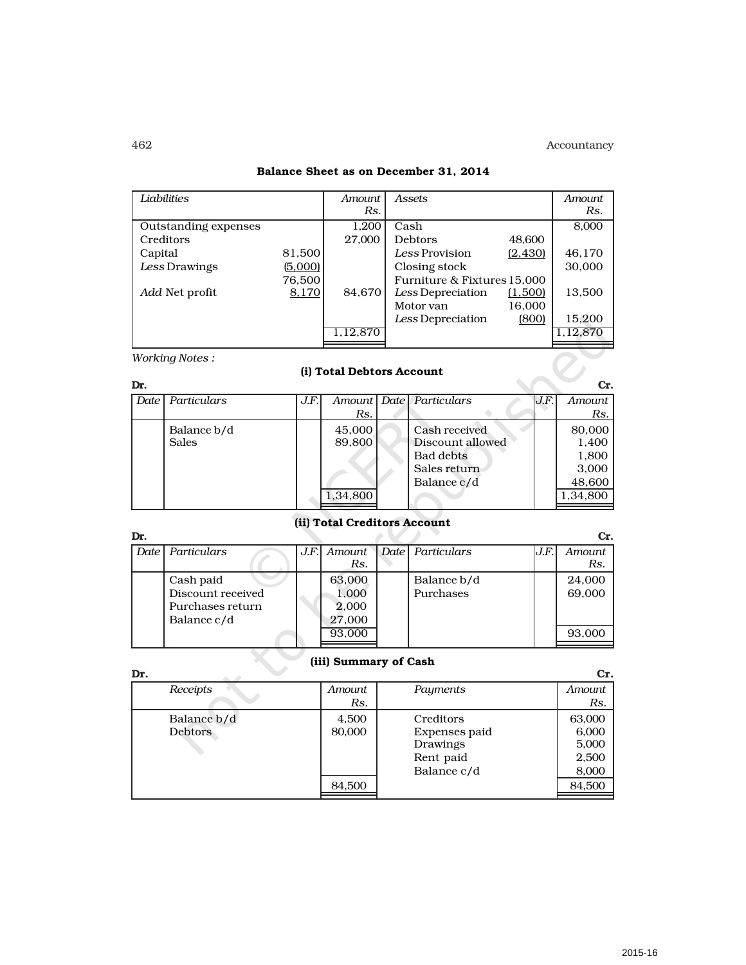| Working Notes :<br>(i) Total Debtors Account |         |          |                                |                 |          |
|----------------------------------------------|---------|----------|--------------------------------|-----------------|----------|
|                                              |         | 1,12,870 |                                |                 | 1,12,870 |
|                                              |         |          | Less Depreciation              | 16,000<br>(800) | 15,200   |
| Add Net profit                               | 8,170   | 84.670   | Less Depreciation<br>Motor van | (1,500)         | 13,500   |
|                                              | 76,500  |          | Furniture & Fixtures 15,000    |                 |          |
| Less Drawings                                | (5,000) |          | Closing stock                  |                 | 30,000   |
| Capital                                      | 81,500  |          | Less Provision                 | (2, 430)        | 46,170   |
| Creditors                                    |         | 27,000   | <b>Debtors</b>                 | 48,600          |          |
| Outstanding expenses                         |         | 1.200    | Cash                           |                 | 8,000    |
|                                              |         | Rs.      |                                |                 | Rs.      |
| Liabilities                                  |         | Amount.  | Assets                         |                 | Amount.  |

## Balance Sheet as on December 31, 2014

## (i) Total Debtors Account

| ш.     |              |      |          |                             |       | u.       |
|--------|--------------|------|----------|-----------------------------|-------|----------|
| Date I | Particulars  | J.F. |          | Amount   Date   Particulars | IJ.F. | Amount   |
|        |              |      | Rs.      |                             |       | Rs.      |
|        | Balance b/d  |      | 45,000   | Cash received               |       | 80,000   |
|        | <b>Sales</b> |      | 89,800   | Discount allowed            |       | 1,400    |
|        |              |      |          | Bad debts                   |       | 1,800    |
|        |              |      |          | Sales return                |       | 3,000    |
|        |              |      |          | Balance c/d                 |       | 48,600   |
|        |              |      | 1,34,800 |                             |       | 1,34,800 |
|        |              |      |          |                             |       |          |

## (ii) Total Creditors Account

| Dr.  |                   |      |        |                  |       | Cr.     |
|------|-------------------|------|--------|------------------|-------|---------|
| Date | Particulars       | J.F. | Amount | Date Particulars | IJ.F. | Amount. |
|      |                   |      | Rs.    |                  |       | Rs.     |
|      | Cash paid         |      | 63,000 | Balance b/d      |       | 24,000  |
|      | Discount received |      | 1,000  | Purchases        |       | 69,000  |
|      | Purchases return  |      | 2.000  |                  |       |         |
|      | Balance c/d       |      | 27,000 |                  |       |         |
|      |                   |      | 93,000 |                  |       | 93,000  |
|      |                   |      |        |                  |       |         |

## (iii) Summary of Cash

| Dr.            |        |               | Cr.    |
|----------------|--------|---------------|--------|
| Receipts       | Amount | Payments      | Amount |
|                | Rs.    |               | Rs.    |
| Balance b/d    | 4,500  | Creditors     | 63,000 |
| <b>Debtors</b> | 80,000 | Expenses paid | 6,000  |
|                |        | Drawings      | 5,000  |
|                |        | Rent paid     | 2,500  |
|                |        | Balance c/d   | 8,000  |
|                | 84,500 |               | 84,500 |
|                |        |               |        |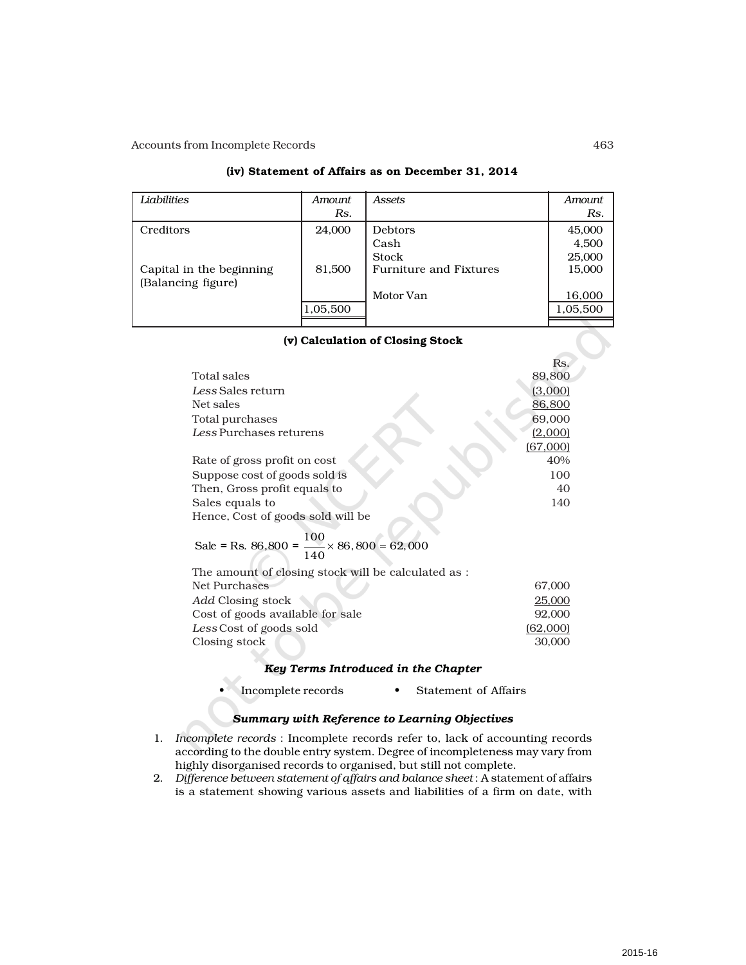| Liabilities                                                  | Amount   | <b>Assets</b>                       | Amount   |  |  |
|--------------------------------------------------------------|----------|-------------------------------------|----------|--|--|
|                                                              | Rs.      |                                     | Rs.      |  |  |
| Creditors                                                    | 24,000   | <b>Debtors</b>                      | 45,000   |  |  |
|                                                              |          | Cash                                | 4,500    |  |  |
|                                                              |          | <b>Stock</b>                        | 25,000   |  |  |
| Capital in the beginning                                     | 81,500   | Furniture and Fixtures              | 15,000   |  |  |
| (Balancing figure)                                           |          |                                     |          |  |  |
|                                                              |          | Motor Van                           | 16,000   |  |  |
|                                                              | 1,05,500 |                                     | 1,05,500 |  |  |
|                                                              |          |                                     |          |  |  |
|                                                              |          | (v) Calculation of Closing Stock    |          |  |  |
|                                                              |          |                                     | Rs.      |  |  |
| <b>Total sales</b>                                           |          |                                     | 89,800   |  |  |
| Less Sales return                                            |          |                                     | (3,000)  |  |  |
| Net sales                                                    |          |                                     | 86,800   |  |  |
| Total purchases                                              |          |                                     | 69,000   |  |  |
| Less Purchases returens                                      |          |                                     | (2,000)  |  |  |
|                                                              |          | (67,000)                            |          |  |  |
| Rate of gross profit on cost<br>40%                          |          |                                     |          |  |  |
| Suppose cost of goods sold is<br>100                         |          |                                     |          |  |  |
| Then, Gross profit equals to                                 |          |                                     | 40       |  |  |
| Sales equals to                                              |          |                                     | 140      |  |  |
| Hence, Cost of goods sold will be                            |          |                                     |          |  |  |
|                                                              | 100      |                                     |          |  |  |
| Sale = Rs. 86,800 = $\frac{200}{110} \times 86,800 = 62,000$ | 140      |                                     |          |  |  |
| The amount of closing stock will be calculated as :          |          |                                     |          |  |  |
| Net Purchases                                                |          |                                     | 67,000   |  |  |
| Add Closing stock                                            |          |                                     | 25,000   |  |  |
| Cost of goods available for sale                             |          |                                     | 92,000   |  |  |
| Less Cost of goods sold                                      |          | (62,000)                            |          |  |  |
| Closing stock                                                |          |                                     | 30,000   |  |  |
|                                                              |          | Key Terms Introduced in the Chapter |          |  |  |

## (iv) Statement of Affairs as on December 31, 2014

Incomplete records • Statement of Affairs

## *Summary with Reference to Learning Objectives*

- 1. *Incomplete records* : Incomplete records refer to, lack of accounting records according to the double entry system. Degree of incompleteness may vary from highly disorganised records to organised, but still not complete.
- 2. *Difference between statement of affairs and balance sheet*: A statement of affairs is a statement showing various assets and liabilities of a firm on date, with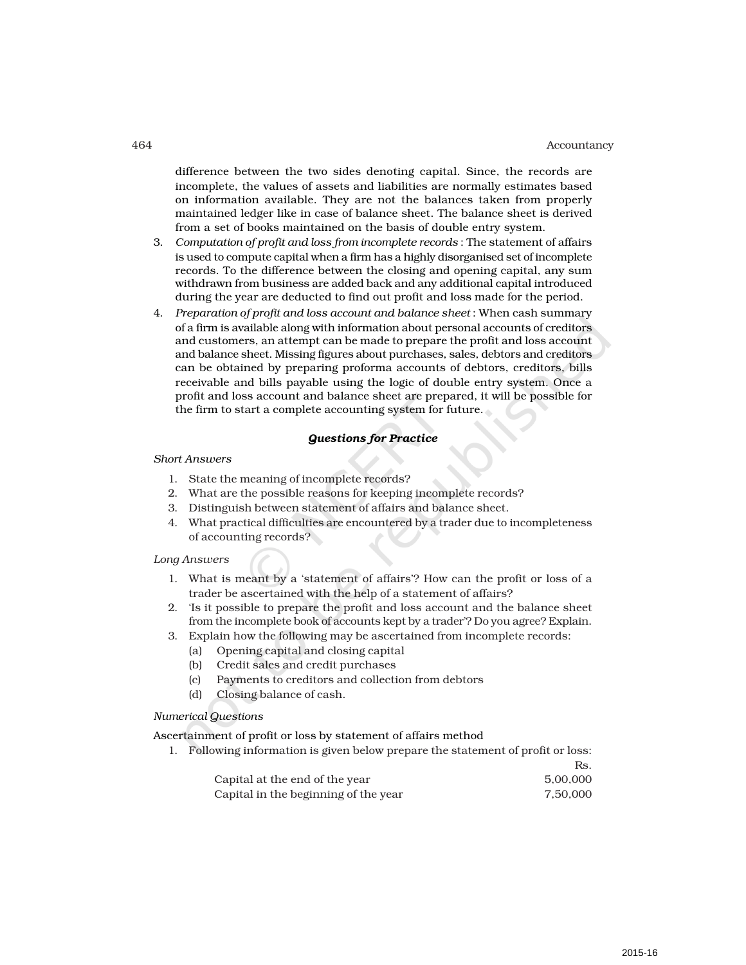difference between the two sides denoting capital. Since, the records are incomplete, the values of assets and liabilities are normally estimates based on information available. They are not the balances taken from properly maintained ledger like in case of balance sheet. The balance sheet is derived from a set of books maintained on the basis of double entry system.

- 3. *Computation of profit and loss from incomplete records* : The statement of affairs is used to compute capital when a firm has a highly disorganised set of incomplete records. To the difference between the closing and opening capital, any sum withdrawn from business are added back and any additional capital introduced during the year are deducted to find out profit and loss made for the period.
- 4. *Preparation of profit and loss account and balance sheet* : When cash summary of a firm is available along with information about personal accounts of creditors and customers, an attempt can be made to prepare the profit and loss account and balance sheet. Missing figures about purchases, sales, debtors and creditors can be obtained by preparing proforma accounts of debtors, creditors, bills receivable and bills payable using the logic of double entry system. Once a profit and loss account and balance sheet are prepared, it will be possible for the firm to start a complete accounting system for future.

#### *Questions for Practice*

#### *Short Answers*

- 1. State the meaning of incomplete records?
- 2. What are the possible reasons for keeping incomplete records?
- 3. Distinguish between statement of affairs and balance sheet.
- 4. What practical difficulties are encountered by a trader due to incompleteness of accounting records?

#### *Long Answers*

- 1. What is meant by a 'statement of affairs'? How can the profit or loss of a trader be ascertained with the help of a statement of affairs?
- 2. 'Is it possible to prepare the profit and loss account and the balance sheet from the incomplete book of accounts kept by a trader'? Do you agree? Explain.
- 3. Explain how the following may be ascertained from incomplete records:
	- (a) Opening capital and closing capital
	- (b) Credit sales and credit purchases
	- (c) Payments to creditors and collection from debtors
	- (d) Closing balance of cash.

#### *Numerical Questions*

Ascertainment of profit or loss by statement of affairs method

1. Following information is given below prepare the statement of profit or loss:

|                                      | Rs.      |
|--------------------------------------|----------|
| Capital at the end of the year       | 5.00.000 |
| Capital in the beginning of the year | 7.50.000 |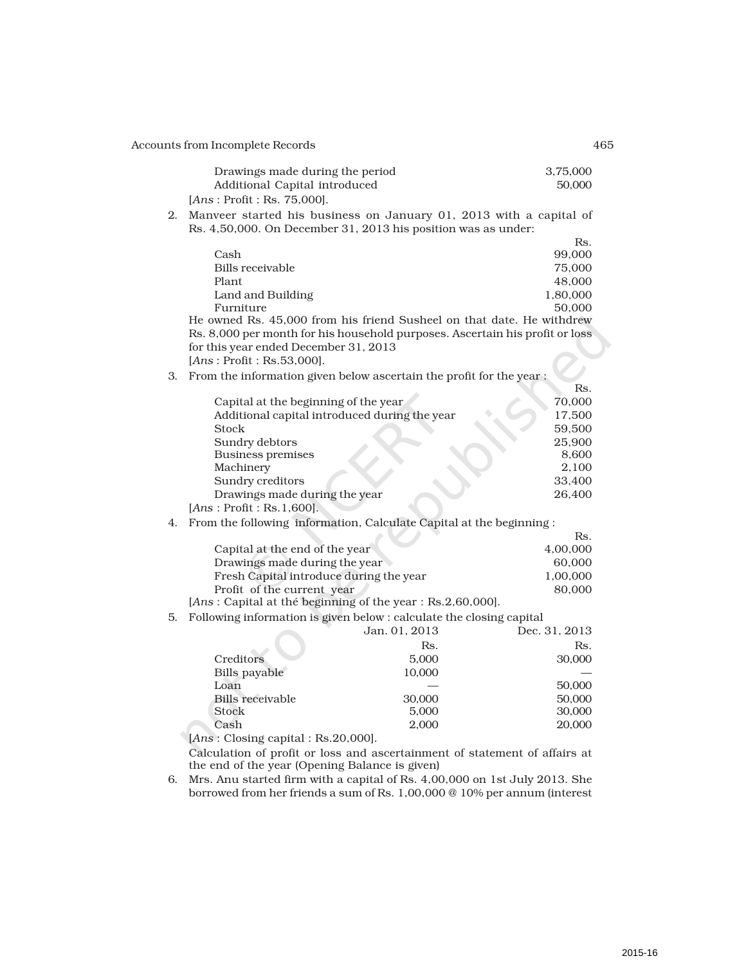| Drawings made during the period | 3.75.000 |
|---------------------------------|----------|
| Additional Capital introduced   | 50.000   |
| [Ans: Profit: Rs. 75,000].      |          |

2. Manveer started his business on January 01, 2013 with a capital of Rs. 4,50,000. On December 31, 2013 his position was as under:

|    |                                                                              | Rs.      |
|----|------------------------------------------------------------------------------|----------|
|    | Cash                                                                         | 99,000   |
|    | Bills receivable                                                             | 75,000   |
|    | Plant                                                                        | 48,000   |
|    | Land and Building                                                            | 1,80,000 |
|    | Furniture                                                                    | 50,000   |
|    | He owned Rs. 45,000 from his friend Susheel on that date. He withdrew        |          |
|    | Rs. 8,000 per month for his household purposes. Ascertain his profit or loss |          |
|    | for this year ended December 31, 2013                                        |          |
|    | [Ans: Profit: Rs.53,000].                                                    |          |
| 3. | From the information given below ascertain the profit for the year :         |          |
|    |                                                                              | Rs.      |
|    | Capital at the beginning of the year                                         |          |

|                                               | 115.   |
|-----------------------------------------------|--------|
| Capital at the beginning of the year          | 70,000 |
| Additional capital introduced during the year | 17,500 |
| Stock                                         | 59,500 |
| Sundry debtors                                | 25,900 |
| <b>Business premises</b>                      | 8,600  |
| Machinery                                     | 2,100  |
| Sundry creditors                              | 33,400 |
| Drawings made during the year                 | 26,400 |
| [Ans: Profit: Rs. 1,600].                     |        |

4. From the following information, Calculate Capital at the beginning :

|                                                             | Rs.      |
|-------------------------------------------------------------|----------|
| Capital at the end of the year                              | 4,00,000 |
| Drawings made during the year                               | 60,000   |
| Fresh Capital introduce during the year                     | 1,00,000 |
| Profit of the current year                                  | 80,000   |
| [Ans : Capital at thé beginning of the year : Rs.2,60,000]. |          |

5. Following information is given below : calculate the closing capital

|                                              | Jan. 01, 2013 | Dec. 31, 2013 |
|----------------------------------------------|---------------|---------------|
|                                              | Rs.           | Rs.           |
| Creditors                                    | 5,000         | 30,000        |
| Bills payable                                | 10,000        |               |
| Loan                                         |               | 50,000        |
| <b>Bills</b> receivable                      | 30,000        | 50,000        |
| <b>Stock</b>                                 | 5,000         | 30,000        |
| Cash                                         | 2,000         | 20,000        |
| $\cdots$ $\cdots$ $\alpha$ $\alpha$ $\alpha$ |               |               |

[*Ans* : Closing capital : Rs.20,000].

Calculation of profit or loss and ascertainment of statement of affairs at the end of the year (Opening Balance is given)

6. Mrs. Anu started firm with a capital of Rs. 4,00,000 on 1st July 2013. She borrowed from her friends a sum of Rs. 1,00,000 @ 10% per annum (interest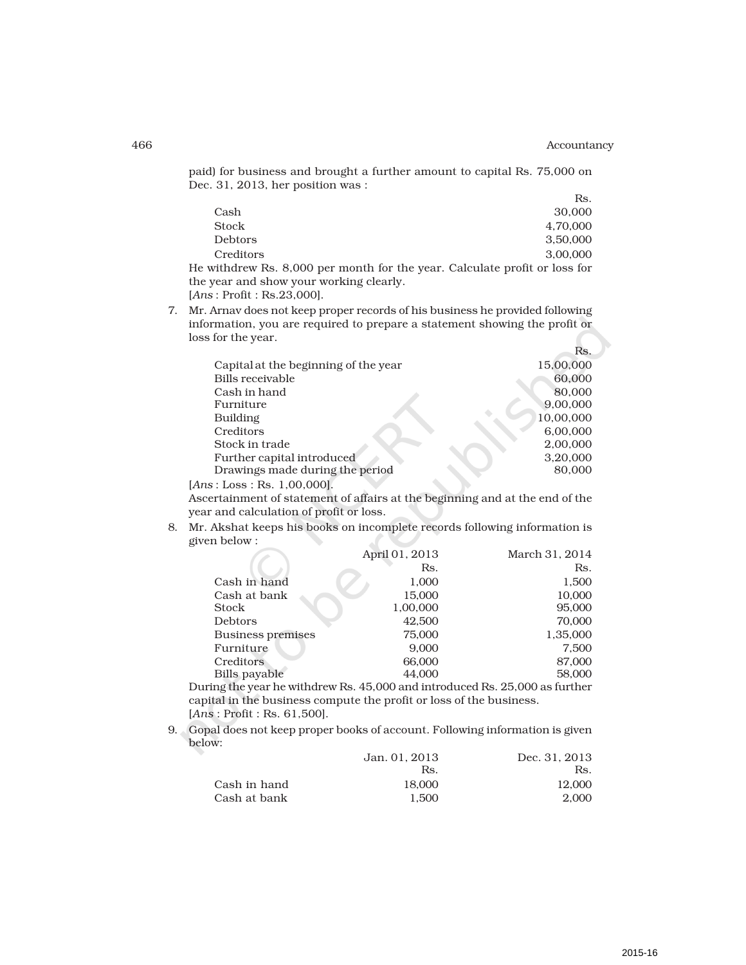paid) for business and brought a further amount to capital Rs. 75,000 on Dec. 31, 2013, her position was :

|                                                                            | Rs.      |
|----------------------------------------------------------------------------|----------|
| Cash                                                                       | 30,000   |
| Stock                                                                      | 4.70.000 |
| <b>Debtors</b>                                                             | 3.50.000 |
| Creditors                                                                  | 3.00.000 |
| He withdrew Rs. 8,000 per month for the year. Calculate profit or loss for |          |
|                                                                            |          |

the year and show your working clearly.

[*Ans* : Profit : Rs.23,000].

7. Mr. Arnav does not keep proper records of his business he provided following information, you are required to prepare a statement showing the profit or loss for the year.

|                                                  | Rs.       |
|--------------------------------------------------|-----------|
| Capital at the beginning of the year             | 15,00,000 |
| Bills receivable                                 | 60,000    |
| Cash in hand                                     | 80,000    |
| Furniture                                        | 9,00,000  |
| Building                                         | 10,00,000 |
| Creditors                                        | 6,00,000  |
| Stock in trade                                   | 2,00,000  |
| Further capital introduced                       | 3,20,000  |
| Drawings made during the period                  | 80,000    |
| $\sim$ $\sim$ $\sim$ $\sim$ $\sim$ $\sim$ $\sim$ |           |

[*Ans* : Loss : Rs. 1,00,000].

Ascertainment of statement of affairs at the beginning and at the end of the year and calculation of profit or loss.

8. Mr. Akshat keeps his books on incomplete records following information is given below :

|                          | April 01, 2013 | March 31, 2014 |
|--------------------------|----------------|----------------|
|                          | Rs.            | Rs.            |
| Cash in hand             | 1,000          | 1,500          |
| Cash at bank             | 15,000         | 10,000         |
| Stock                    | 1,00,000       | 95,000         |
| <b>Debtors</b>           | 42,500         | 70,000         |
| <b>Business premises</b> | 75,000         | 1,35,000       |
| Furniture                | 9.000          | 7,500          |
| Creditors                | 66,000         | 87,000         |
| Bills payable            | 44,000         | 58,000         |

During the year he withdrew Rs. 45,000 and introduced Rs. 25,000 as further capital in the business compute the profit or loss of the business. [*Ans* : Profit : Rs. 61,500].

9. Gopal does not keep proper books of account. Following information is given below:

|              | Jan. 01. 2013 | Dec. 31, 2013 |
|--------------|---------------|---------------|
|              | Rs.           | Rs.           |
| Cash in hand | 18,000        | 12,000        |
| Cash at bank | 1.500         | 2.000         |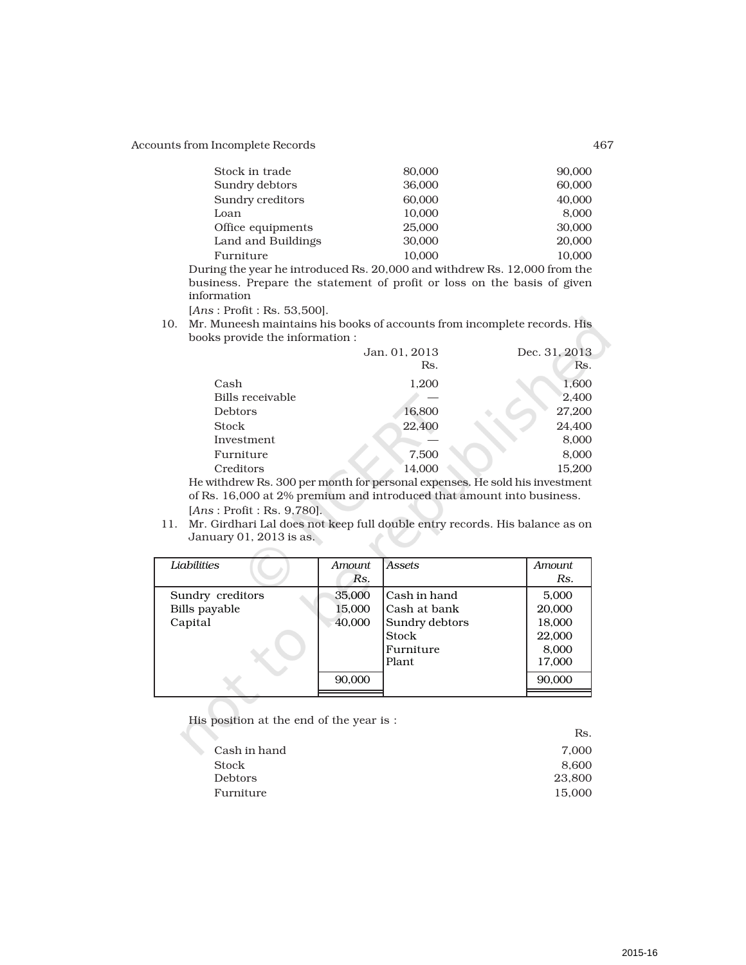| Stock in trade     | 80,000 | 90,000 |
|--------------------|--------|--------|
| Sundry debtors     | 36,000 | 60,000 |
| Sundry creditors   | 60,000 | 40,000 |
| Loan               | 10,000 | 8,000  |
| Office equipments  | 25,000 | 30,000 |
| Land and Buildings | 30,000 | 20,000 |
| Furniture          | 10,000 | 10.000 |

During the year he introduced Rs. 20,000 and withdrew Rs. 12,000 from the business. Prepare the statement of profit or loss on the basis of given information

[*Ans* : Profit : Rs. 53,500].

10. Mr. Muneesh maintains his books of accounts from incomplete records. His books provide the information :

|                  | Jan. 01, 2013<br>Rs. | Dec. 31, 2013<br>Rs. |
|------------------|----------------------|----------------------|
| Cash             | 1,200                | 1,600                |
| Bills receivable |                      | 2,400                |
| <b>Debtors</b>   | 16,800               | 27,200               |
| <b>Stock</b>     | 22,400               | 24,400               |
| Investment       |                      | 8,000                |
| Furniture        | 7,500                | 8,000                |
| Creditors        | 14,000               | 15.200               |

He withdrew Rs. 300 per month for personal expenses. He sold his investment of Rs. 16,000 at 2% premium and introduced that amount into business. [*Ans* : Profit : Rs. 9,780].

11. Mr. Girdhari Lal does not keep full double entry records. His balance as on January 01, 2013 is as.

| Liabilities      | Amount | <b>Assets</b>  | Amount. |
|------------------|--------|----------------|---------|
|                  | Rs.    |                | Rs.     |
| Sundry creditors | 35,000 | Cash in hand   | 5,000   |
| Bills payable    | 15,000 | Cash at bank   | 20,000  |
| Capital          | 40,000 | Sundry debtors | 18,000  |
|                  |        | <b>Stock</b>   | 22,000  |
|                  |        | Furniture      | 8,000   |
|                  |        | <b>Plant</b>   | 17,000  |
|                  | 90,000 |                | 90,000  |
|                  |        |                |         |

His position at the end of the year is :

|                | Rs.    |
|----------------|--------|
| Cash in hand   | 7.000  |
| Stock          | 8.600  |
| <b>Debtors</b> | 23,800 |
| Furniture      | 15.000 |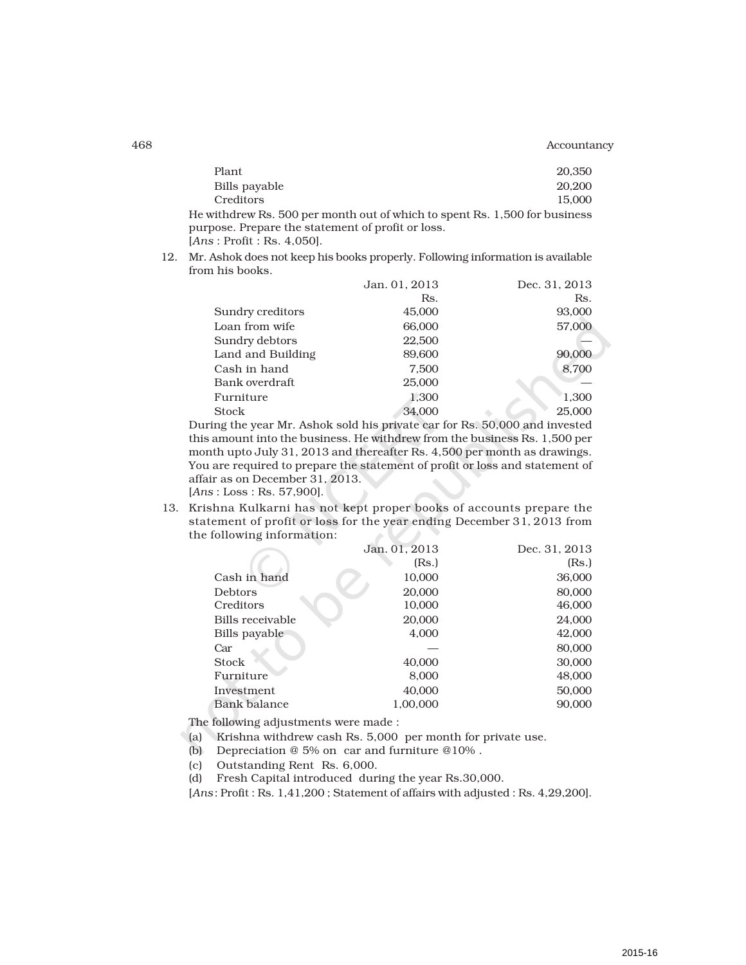| Plant         | 20,350 |
|---------------|--------|
| Bills payable | 20,200 |
| Creditors     | 15,000 |

He withdrew Rs. 500 per month out of which to spent Rs. 1,500 for business purpose. Prepare the statement of profit or loss. [*Ans* : Profit : Rs. 4,050].

12. Mr. Ashok does not keep his books properly. Following information is available from his books.

| Jan. 01, 2013 | Dec. 31, 2013 |
|---------------|---------------|
| Rs.           | Rs.           |
| 45,000        | 93,000        |
| 66,000        | 57,000        |
| 22,500        |               |
| 89,600        | 90,000        |
| 7,500         | 8,700         |
| 25,000        |               |
| 1,300         | 1,300         |
| 34,000        | 25,000        |
|               |               |

During the year Mr. Ashok sold his private car for Rs. 50,000 and invested this amount into the business. He withdrew from the business Rs. 1,500 per month upto July 31, 2013 and thereafter Rs. 4,500 per month as drawings. You are required to prepare the statement of profit or loss and statement of affair as on December 31, 2013.

[*Ans* : Loss : Rs. 57,900].

13. Krishna Kulkarni has not kept proper books of accounts prepare the statement of profit or loss for the year ending December 31, 2013 from the following information:  $\mathcal{L}$ 

|                  | Jan. 01, 2013 | Dec. 31, 2013 |
|------------------|---------------|---------------|
|                  | (Rs.)         | (Rs.)         |
| Cash in hand     | 10,000        | 36,000        |
| <b>Debtors</b>   | 20,000        | 80,000        |
| Creditors        | 10,000        | 46,000        |
| Bills receivable | 20,000        | 24,000        |
| Bills payable    | 4,000         | 42,000        |
| Car              |               | 80,000        |
| Stock            | 40,000        | 30,000        |
| Furniture        | 8,000         | 48,000        |
| Investment       | 40,000        | 50,000        |
| Bank balance     | 1,00,000      | 90,000        |
|                  |               |               |

The following adjustments were made :

- (a) Krishna withdrew cash Rs. 5,000 per month for private use.
- (b) Depreciation @ 5% on car and furniture @10% .
- (c) Outstanding Rent Rs. 6,000.
- (d) Fresh Capital introduced during the year Rs.30,000.

[*Ans* : Profit : Rs. 1,41,200 ; Statement of affairs with adjusted : Rs. 4,29,200].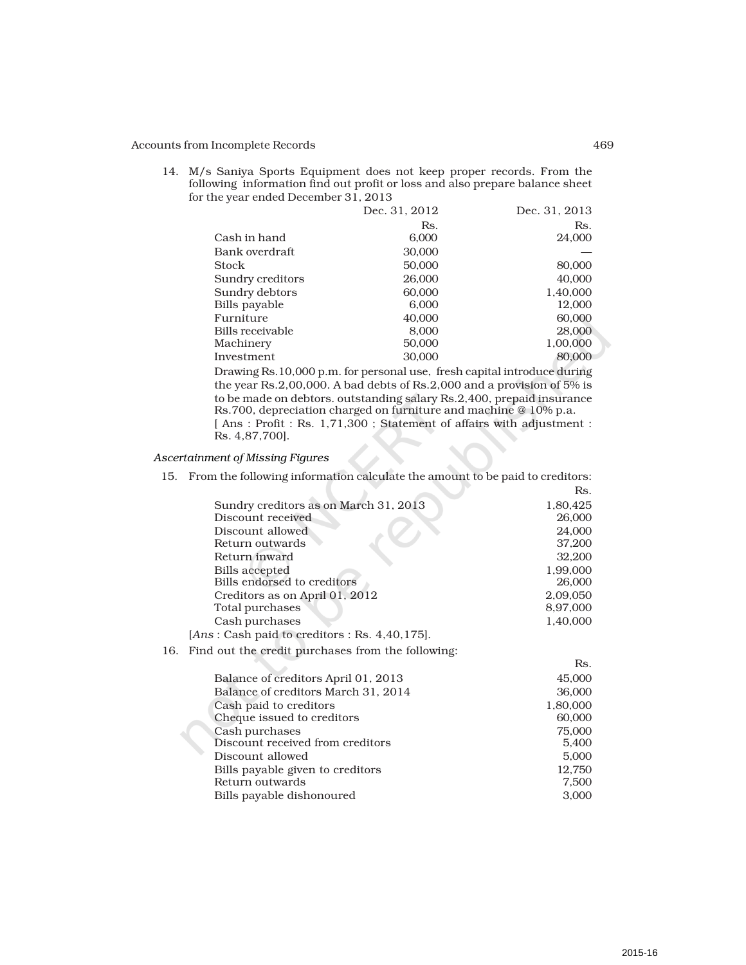14. M/s Saniya Sports Equipment does not keep proper records. From the following information find out profit or loss and also prepare balance sheet for the year ended December 31, 2013

|                  | Dec. 31, 2012 | Dec. 31, 2013 |
|------------------|---------------|---------------|
|                  | Rs.           | Rs.           |
| Cash in hand     | 6,000         | 24,000        |
| Bank overdraft   | 30,000        |               |
| Stock            | 50,000        | 80,000        |
| Sundry creditors | 26,000        | 40,000        |
| Sundry debtors   | 60,000        | 1,40,000      |
| Bills payable    | 6,000         | 12,000        |
| Furniture        | 40,000        | 60,000        |
| Bills receivable | 8.000         | 28,000        |
| Machinery        | 50,000        | 1,00,000      |
| Investment       | 30,000        | 80,000        |
|                  |               |               |

Drawing Rs.10,000 p.m. for personal use, fresh capital introduce during the year Rs.2,00,000. A bad debts of Rs.2,000 and a provision of 5% is to be made on debtors. outstanding salary Rs.2,400, prepaid insurance Rs.700, depreciation charged on furniture and machine @ 10% p.a. [Ans : Profit : Rs. 1,71,300 ; Statement of affairs with adjustment : Rs. 4,87,700].

#### *Ascertainment of Missing Figures*

15. From the following information calculate the amount to be paid to creditors: Rs. Sundry creditors as on March 31, 2013 1,80,425<br>Discount received 26,000 Discount received Discount allowed 24,000 Return outwards Return inward 32,200 Bills accepted 1,99,000<br>Bills endorsed to creditors and the community of the community of the community of the community of the community<br>Community of the community of the community of the community of the community of the Bills endorsed to creditors Creditors as on April 01, 2012<br>Total purchases 8,97,000 Total purchases Cash purchases 1,40,000 [*Ans* : Cash paid to creditors : Rs. 4,40,175].

16. Find out the credit purchases from the following:

|                                     | Rs.      |
|-------------------------------------|----------|
| Balance of creditors April 01, 2013 | 45,000   |
| Balance of creditors March 31, 2014 | 36,000   |
| Cash paid to creditors              | 1,80,000 |
| Cheque issued to creditors          | 60,000   |
| Cash purchases                      | 75,000   |
| Discount received from creditors    | 5.400    |
| Discount allowed                    | 5.000    |
| Bills payable given to creditors    | 12,750   |
| Return outwards                     | 7,500    |
| Bills payable dishonoured           | 3.000    |
|                                     |          |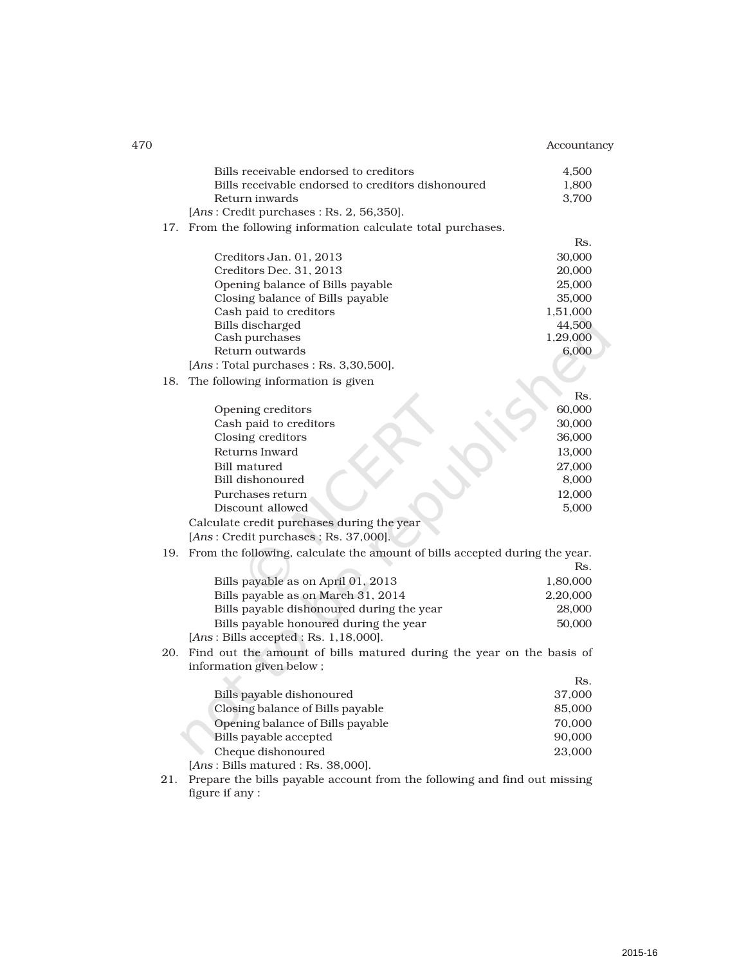| 470 |     |                                                                                                  | Accountancy        |
|-----|-----|--------------------------------------------------------------------------------------------------|--------------------|
|     |     | Bills receivable endorsed to creditors                                                           | 4,500              |
|     |     | Bills receivable endorsed to creditors dishonoured                                               | 1,800              |
|     |     | Return inwards                                                                                   | 3,700              |
|     |     | [Ans: Credit purchases: Rs. 2, 56,350].                                                          |                    |
|     | 17. | From the following information calculate total purchases.                                        |                    |
|     |     |                                                                                                  | Rs.                |
|     |     | Creditors Jan. 01, 2013                                                                          | 30,000             |
|     |     | Creditors Dec. 31, 2013                                                                          | 20,000             |
|     |     | Opening balance of Bills payable                                                                 | 25,000             |
|     |     | Closing balance of Bills payable                                                                 | 35,000             |
|     |     | Cash paid to creditors<br>Bills discharged                                                       | 1,51,000<br>44,500 |
|     |     | Cash purchases                                                                                   | 1,29,000           |
|     |     | Return outwards                                                                                  | 6,000              |
|     |     | [Ans: Total purchases: Rs. 3,30,500].                                                            |                    |
|     | 18. | The following information is given                                                               |                    |
|     |     |                                                                                                  | Rs.                |
|     |     | Opening creditors                                                                                | 60,000             |
|     |     | Cash paid to creditors                                                                           | 30,000             |
|     |     | Closing creditors                                                                                | 36,000             |
|     |     | Returns Inward                                                                                   | 13,000             |
|     |     | Bill matured                                                                                     | 27,000             |
|     |     | Bill dishonoured                                                                                 | 8,000              |
|     |     | Purchases return                                                                                 | 12,000             |
|     |     | Discount allowed                                                                                 | 5,000              |
|     |     | Calculate credit purchases during the year                                                       |                    |
|     |     | [Ans: Credit purchases: Rs. 37,000].                                                             |                    |
|     | 19. | From the following, calculate the amount of bills accepted during the year.                      | Rs.                |
|     |     | Bills payable as on April 01, 2013                                                               | 1,80,000           |
|     |     | Bills payable as on March 31, 2014                                                               | 2,20,000           |
|     |     | Bills payable dishonoured during the year                                                        | 28,000             |
|     |     | Bills payable honoured during the year                                                           | 50,000             |
|     |     | [Ans: Bills accepted: Rs. 1,18,000].                                                             |                    |
|     | 20. | Find out the amount of bills matured during the year on the basis of<br>information given below; |                    |
|     |     |                                                                                                  | Rs.                |
|     |     | Bills payable dishonoured                                                                        | 37,000             |
|     |     | Closing balance of Bills payable                                                                 | 85,000             |
|     |     | Opening balance of Bills payable                                                                 | 70,000             |
|     |     | Bills payable accepted                                                                           | 90,000             |
|     |     | Cheque dishonoured                                                                               | 23,000             |
|     |     | $[Ans:$ Bills matured : Rs. 38,000].                                                             |                    |
|     | 21. | Prepare the bills payable account from the following and find out missing<br>figure if any:      |                    |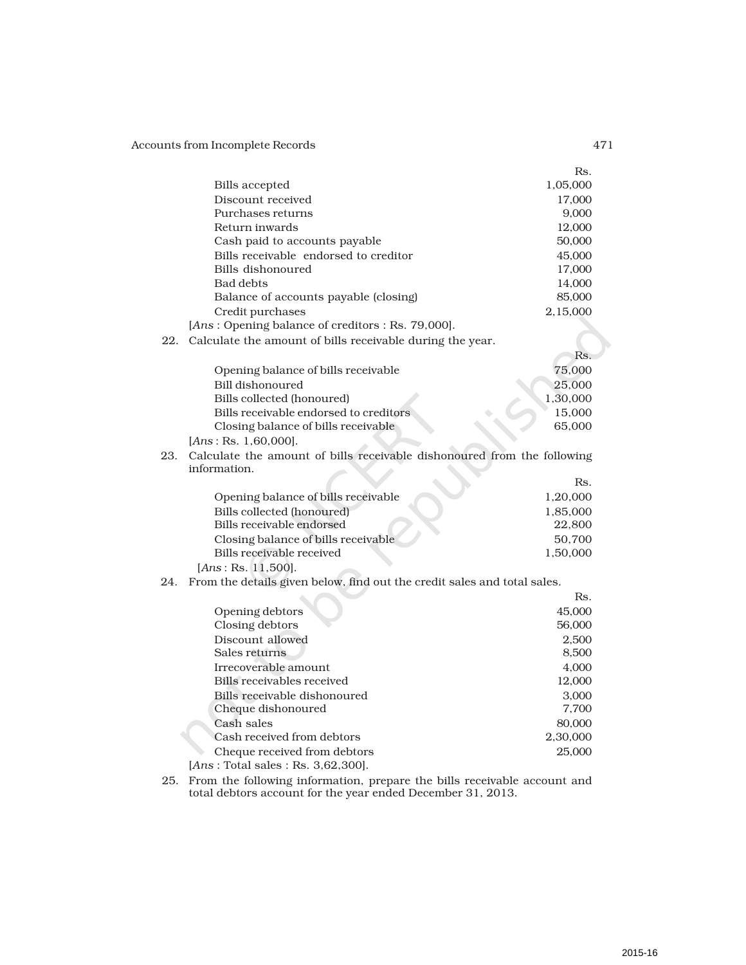|     |                                                                          | Rs.      |
|-----|--------------------------------------------------------------------------|----------|
|     | <b>Bills</b> accepted                                                    | 1,05,000 |
|     | Discount received                                                        | 17,000   |
|     | Purchases returns                                                        | 9,000    |
|     | Return inwards                                                           | 12,000   |
|     | Cash paid to accounts payable                                            | 50,000   |
|     | Bills receivable endorsed to creditor                                    | 45,000   |
|     | Bills dishonoured                                                        | 17,000   |
|     | <b>Bad debts</b>                                                         | 14,000   |
|     | Balance of accounts payable (closing)                                    | 85,000   |
|     | Credit purchases                                                         | 2,15,000 |
|     | [Ans: Opening balance of creditors: Rs. 79,000].                         |          |
| 22. | Calculate the amount of bills receivable during the year.                |          |
|     |                                                                          | Rs.      |
|     | Opening balance of bills receivable                                      | 75,000   |
|     | <b>Bill dishonoured</b>                                                  | 25,000   |
|     | Bills collected (honoured)                                               | 1,30,000 |
|     | Bills receivable endorsed to creditors                                   | 15,000   |
|     | Closing balance of bills receivable                                      | 65,000   |
|     | [Ans: Rs. 1,60,000].                                                     |          |
| 23. | Calculate the amount of bills receivable dishonoured from the following  |          |
|     | information.                                                             |          |
|     |                                                                          | Rs.      |
|     | Opening balance of bills receivable                                      | 1,20,000 |
|     | Bills collected (honoured)                                               | 1,85,000 |
|     | Bills receivable endorsed                                                | 22,800   |
|     | Closing balance of bills receivable                                      | 50,700   |
|     | Bills receivable received                                                | 1,50,000 |
|     | [Ans: Rs. 11,500].                                                       |          |
| 24. | From the details given below, find out the credit sales and total sales. |          |
|     |                                                                          | Rs.      |
|     | Opening debtors                                                          | 45,000   |
|     | Closing debtors                                                          | 56,000   |
|     | Discount allowed                                                         | 2,500    |
|     | Sales returns                                                            | 8,500    |
|     | Irrecoverable amount                                                     | 4,000    |
|     | Bills receivables received                                               | 12,000   |
|     | Bills receivable dishonoured                                             | 3,000    |
|     | Cheque dishonoured                                                       | 7,700    |
|     | Cash sales                                                               | 80,000   |
|     | Cash received from debtors                                               | 2,30,000 |
|     | Cheque received from debtors                                             | 25,000   |
|     | [Ans: Total sales: Rs. 3,62,300].                                        |          |

25. From the following information, prepare the bills receivable account and total debtors account for the year ended December 31, 2013.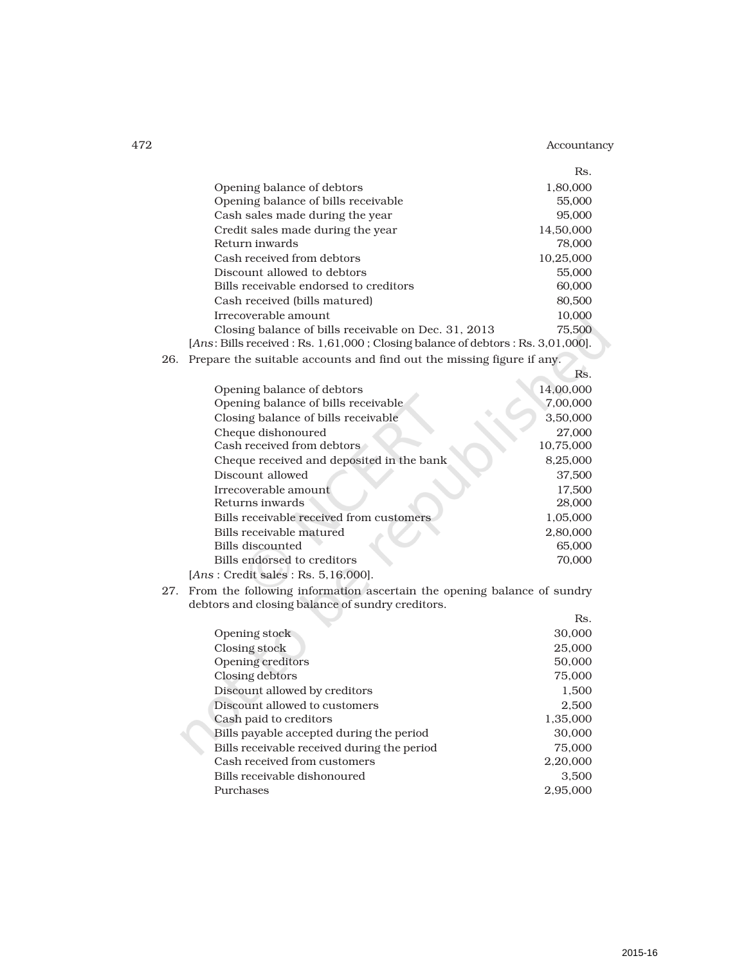|     |                                                                                                                            | Rs.       |
|-----|----------------------------------------------------------------------------------------------------------------------------|-----------|
|     | Opening balance of debtors                                                                                                 | 1,80,000  |
|     | Opening balance of bills receivable                                                                                        | 55,000    |
|     | Cash sales made during the year                                                                                            | 95,000    |
|     | Credit sales made during the year                                                                                          | 14,50,000 |
|     | Return inwards                                                                                                             | 78,000    |
|     | Cash received from debtors                                                                                                 | 10,25,000 |
|     | Discount allowed to debtors                                                                                                | 55,000    |
|     | Bills receivable endorsed to creditors                                                                                     | 60,000    |
|     | Cash received (bills matured)                                                                                              | 80,500    |
|     | Irrecoverable amount                                                                                                       | 10,000    |
|     | Closing balance of bills receivable on Dec. 31, 2013                                                                       | 75,500    |
|     | [Ans: Bills received : Rs. 1,61,000 ; Closing balance of debtors : Rs. 3,01,000].                                          |           |
| 26. | Prepare the suitable accounts and find out the missing figure if any.                                                      |           |
|     |                                                                                                                            | Rs.       |
|     | Opening balance of debtors                                                                                                 | 14,00,000 |
|     | Opening balance of bills receivable                                                                                        | 7,00,000  |
|     | Closing balance of bills receivable                                                                                        | 3,50,000  |
|     | Cheque dishonoured                                                                                                         | 27,000    |
|     | Cash received from debtors                                                                                                 | 10,75,000 |
|     | Cheque received and deposited in the bank                                                                                  | 8,25,000  |
|     | Discount allowed                                                                                                           | 37,500    |
|     | Irrecoverable amount                                                                                                       | 17,500    |
|     | Returns inwards                                                                                                            | 28,000    |
|     | Bills receivable received from customers                                                                                   | 1,05,000  |
|     | Bills receivable matured                                                                                                   | 2,80,000  |
|     | <b>Bills</b> discounted                                                                                                    | 65,000    |
|     | Bills endorsed to creditors                                                                                                | 70,000    |
|     | [Ans: Credit sales: Rs. 5, 16,000].                                                                                        |           |
| 27. | From the following information ascertain the opening balance of sundry<br>debtors and closing balance of sundry creditors. |           |
|     |                                                                                                                            | Rs.       |
|     | Opening stock                                                                                                              | 30,000    |
|     | Closing stock                                                                                                              | 25,000    |
|     | Opening creditors                                                                                                          | 50,000    |
|     | Closing debtors                                                                                                            | 75,000    |
|     | Discount allowed by creditors                                                                                              | 1,500     |
|     | Discount allowed to customers                                                                                              | 2,500     |
|     | Cash paid to creditors                                                                                                     | 1,35,000  |
|     | Bills payable accepted during the period                                                                                   | 30,000    |
|     | Bills receivable received during the period                                                                                | 75,000    |
|     | Cash received from customers                                                                                               | 2,20,000  |
|     | Bills receivable dishonoured                                                                                               | 3,500     |
|     | Purchases                                                                                                                  | 2,95,000  |
|     |                                                                                                                            |           |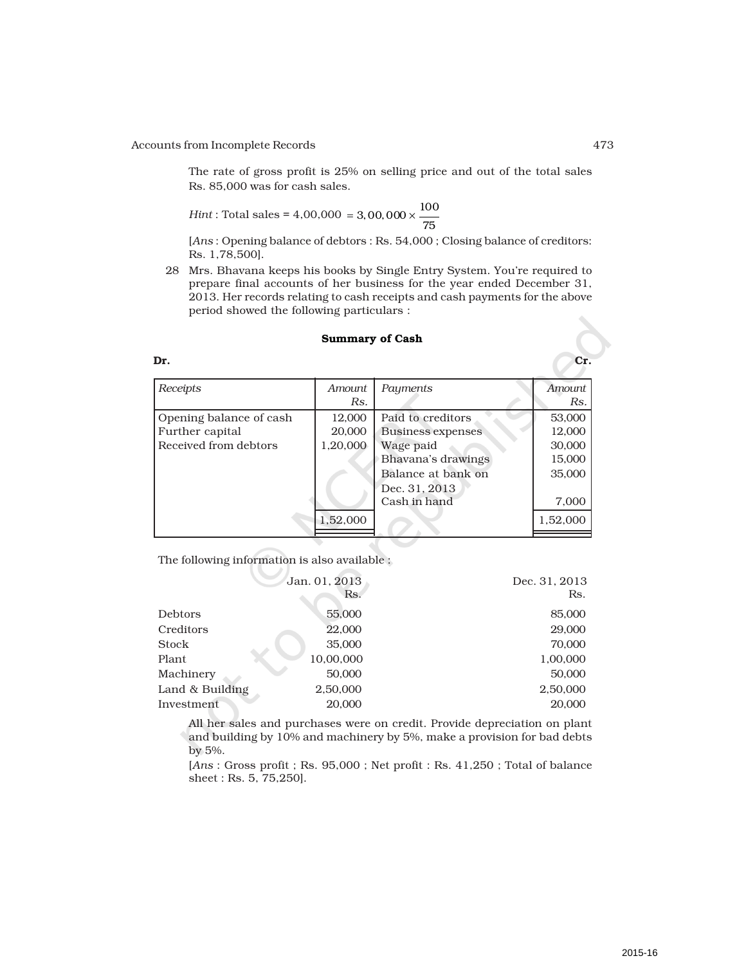The rate of gross profit is 25% on selling price and out of the total sales Rs. 85,000 was for cash sales.

*Hint*: Total sales = 4,00,000 = 3,00,000 
$$
\times \frac{100}{75}
$$

[*Ans* : Opening balance of debtors : Rs. 54,000 ; Closing balance of creditors: Rs. 1,78,500].

28 Mrs. Bhavana keeps his books by Single Entry System. You're required to prepare final accounts of her business for the year ended December 31, 2013. Her records relating to cash receipts and cash payments for the above period showed the following particulars :

#### Summary of Cash

| Dr. | Cr. |  |
|-----|-----|--|
|     |     |  |

| Receipts                                                            | Amount<br>Rs.                            | Payments                                                                                                                         | Amount<br>Rs.                                                       |
|---------------------------------------------------------------------|------------------------------------------|----------------------------------------------------------------------------------------------------------------------------------|---------------------------------------------------------------------|
| Opening balance of cash<br>Further capital<br>Received from debtors | 12,000<br>20,000<br>1,20,000<br>1,52,000 | Paid to creditors<br>Business expenses<br>Wage paid<br>Bhavana's drawings<br>Balance at bank on<br>Dec. 31, 2013<br>Cash in hand | 53,000<br>12,000<br>30,000<br>15,000<br>35,000<br>7,000<br>1,52,000 |

The following information is also available :

|                 | Jan. 01, 2013<br>Rs. | Dec. 31, 2013<br>Rs. |
|-----------------|----------------------|----------------------|
| <b>Debtors</b>  | 55,000               | 85,000               |
| Creditors       | 22,000               | 29,000               |
| <b>Stock</b>    | 35,000               | 70,000               |
| Plant           | 10,00,000            | 1,00,000             |
| Machinery       | 50,000               | 50,000               |
| Land & Building | 2,50,000             | 2,50,000             |
| Investment      | 20,000               | 20,000               |

All her sales and purchases were on credit. Provide depreciation on plant and building by 10% and machinery by 5%, make a provision for bad debts by 5%.

[*Ans* : Gross profit ; Rs. 95,000 ; Net profit : Rs. 41,250 ; Total of balance sheet : Rs. 5, 75,250].